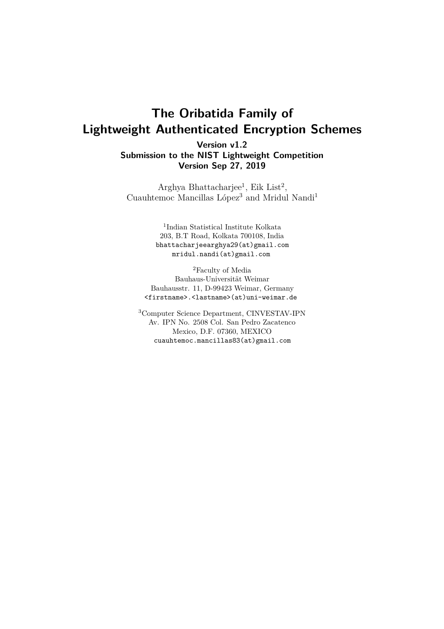# **The Oribatida Family of Lightweight Authenticated Encryption Schemes**

**Version v1.2 Submission to the NIST Lightweight Competition Version Sep 27, 2019**

Arghya Bhattacharjee<sup>1</sup>, Eik List<sup>2</sup>, Cuauhtemoc Mancillas López<sup>3</sup> and Mridul Nandi<sup>1</sup>

> 1 Indian Statistical Institute Kolkata 203, B.T Road, Kolkata 700108, India bhattacharjeearghya29(at)gmail.com mridul.nandi(at)gmail.com

<sup>2</sup>Faculty of Media Bauhaus-Universität Weimar Bauhausstr. 11, D-99423 Weimar, Germany <firstname>.<lastname>(at)uni-weimar.de

<sup>3</sup>Computer Science Department, CINVESTAV-IPN Av. IPN No. 2508 Col. San Pedro Zacatenco Mexico, D.F. 07360, MEXICO cuauhtemoc.mancillas83(at)gmail.com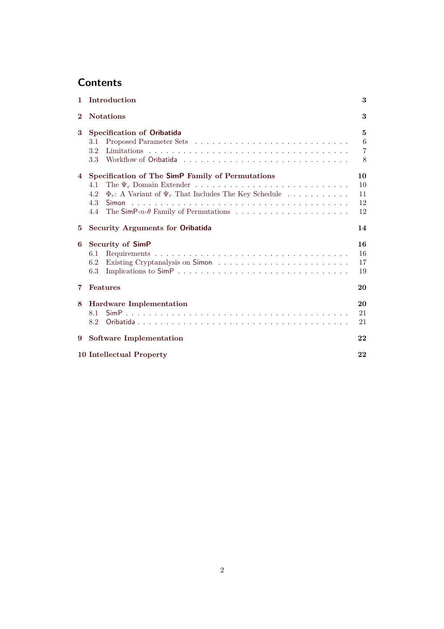## **Contents**

|                              | 1 Introduction                                                                                                                                  | 3                                           |  |  |  |  |  |  |  |  |
|------------------------------|-------------------------------------------------------------------------------------------------------------------------------------------------|---------------------------------------------|--|--|--|--|--|--|--|--|
| <b>Notations</b><br>$\bf{2}$ |                                                                                                                                                 |                                             |  |  |  |  |  |  |  |  |
| 3                            | <b>Specification of Oribatida</b><br>$3.1\,$<br>$3.2\,$<br>$3.3\,$                                                                              | 5<br>$6\phantom{.}6$<br>$\overline{7}$<br>8 |  |  |  |  |  |  |  |  |
| 4                            | Specification of The SimP Family of Permutations<br>4.1<br>$\Phi_r$ : A Variant of $\Psi_r$ That Includes The Key Schedule<br>4.2<br>4.3<br>4.4 | 10<br>10<br>11<br>12<br>12                  |  |  |  |  |  |  |  |  |
| 5                            | <b>Security Arguments for Oribatida</b>                                                                                                         | 14                                          |  |  |  |  |  |  |  |  |
| 6                            | <b>Security of SimP</b><br>6.1<br>6.2<br>6.3                                                                                                    | 16<br>16<br>17<br>19                        |  |  |  |  |  |  |  |  |
| 7                            | Features                                                                                                                                        | 20                                          |  |  |  |  |  |  |  |  |
| 8                            | <b>Hardware Implementation</b><br>8.1<br>8.2                                                                                                    | 20<br>21<br>21                              |  |  |  |  |  |  |  |  |
| 9                            | <b>Software Implementation</b>                                                                                                                  | 22                                          |  |  |  |  |  |  |  |  |
|                              | <b>10 Intellectual Property</b>                                                                                                                 | 22                                          |  |  |  |  |  |  |  |  |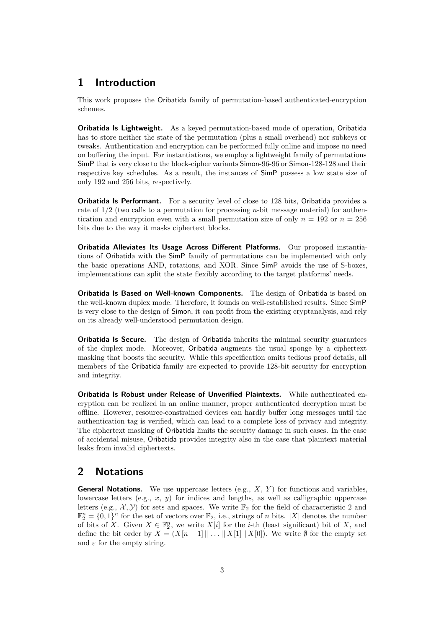### <span id="page-2-0"></span>**1 Introduction**

This work proposes the Oribatida family of permutation-based authenticated-encryption schemes.

**Oribatida Is Lightweight.** As a keyed permutation-based mode of operation, Oribatida has to store neither the state of the permutation (plus a small overhead) nor subkeys or tweaks. Authentication and encryption can be performed fully online and impose no need on buffering the input. For instantiations, we employ a lightweight family of permutations SimP that is very close to the block-cipher variants Simon-96-96 or Simon-128-128 and their respective key schedules. As a result, the instances of SimP possess a low state size of only 192 and 256 bits, respectively.

**Oribatida Is Performant.** For a security level of close to 128 bits, Oribatida provides a rate of 1*/*2 (two calls to a permutation for processing *n*-bit message material) for authentication and encryption even with a small permutation size of only  $n = 192$  or  $n = 256$ bits due to the way it masks ciphertext blocks.

**Oribatida Alleviates Its Usage Across Different Platforms.** Our proposed instantiations of Oribatida with the SimP family of permutations can be implemented with only the basic operations AND, rotations, and XOR. Since SimP avoids the use of S-boxes, implementations can split the state flexibly according to the target platforms' needs.

**Oribatida Is Based on Well-known Components.** The design of Oribatida is based on the well-known duplex mode. Therefore, it founds on well-established results. Since SimP is very close to the design of Simon, it can profit from the existing cryptanalysis, and rely on its already well-understood permutation design.

**Oribatida Is Secure.** The design of Oribatida inherits the minimal security guarantees of the duplex mode. Moreover, Oribatida augments the usual sponge by a ciphertext masking that boosts the security. While this specification omits tedious proof details, all members of the Oribatida family are expected to provide 128-bit security for encryption and integrity.

**Oribatida Is Robust under Release of Unverified Plaintexts.** While authenticated encryption can be realized in an online manner, proper authenticated decryption must be offline. However, resource-constrained devices can hardly buffer long messages until the authentication tag is verified, which can lead to a complete loss of privacy and integrity. The ciphertext masking of Oribatida limits the security damage in such cases. In the case of accidental misuse, Oribatida provides integrity also in the case that plaintext material leaks from invalid ciphertexts.

### <span id="page-2-1"></span>**2 Notations**

**General Notations.** We use uppercase letters (e.g., *X*, *Y* ) for functions and variables, lowercase letters (e.g., *x*, *y*) for indices and lengths, as well as calligraphic uppercase letters (e.g.,  $\mathcal{X}, \mathcal{Y}$ ) for sets and spaces. We write  $\mathbb{F}_2$  for the field of characteristic 2 and  $\mathbb{F}_2^n = \{0,1\}^n$  for the set of vectors over  $\mathbb{F}_2$ , i.e., strings of *n* bits. |X| denotes the number of bits of *X*. Given  $X \in \mathbb{F}_2^n$ , we write  $X[i]$  for the *i*-th (least significant) bit of *X*, and define the bit order by  $X = (X[n-1] \| \dots \| X[1] \| X[0])$ . We write  $\emptyset$  for the empty set and  $\varepsilon$  for the empty string.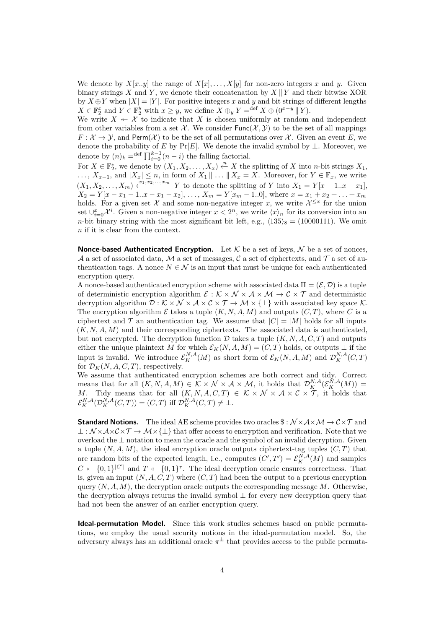We denote by  $X[x,y]$  the range of  $X[x], \ldots, X[y]$  for non-zero integers x and y. Given binary strings *X* and *Y*, we denote their concatenation by  $X \parallel Y$  and their bitwise XOR by  $X \oplus Y$  when  $|X| = |Y|$ . For positive integers x and y and bit strings of different lengths  $X \in \mathbb{F}_2^x$  and  $Y \in \mathbb{F}_2^y$  with  $x \geq y$ , we define  $\overline{X} \oplus_y Y = \text{def } X \oplus (0^{x-y} \mid Y)$ .

We write  $X \leftarrow \mathcal{X}$  to indicate that X is chosen uniformly at random and independent from other variables from a set  $\mathcal{X}$ . We consider  $\text{Func}(\mathcal{X}, \mathcal{Y})$  to be the set of all mappings  $F: \mathcal{X} \to \mathcal{Y}$ , and Perm( $\mathcal{X}$ ) to be the set of all permutations over  $\mathcal{X}$ . Given an event *E*, we denote the probability of *E* by Pr[*E*]. We denote the invalid symbol by  $\perp$ . Moreover, we denote by  $(n)_k = \text{def } \prod_{i=0}^{k-1} (n-i)$  the falling factorial.

For  $X \in \mathbb{F}_2^*$ , we denote by  $(X_1, X_2, \ldots, X_x) \xleftarrow{n} X$  the splitting of *X* into *n*-bit strings  $X_1$ , ...,  $X_{x-1}$ , and  $|X_x|$  ≤ *n*, in form of  $X_1 \parallel \ldots \parallel X_x = X$ . Moreover, for  $Y \in \mathbb{F}_x$ , we write  $(X_1, X_2, \ldots, X_m) \xleftarrow{x_1, x_2, \ldots, x_m} Y$  to denote the splitting of *Y* into  $X_1 = Y[x - 1..x - x_1],$  $X_2 = Y[x - x_1 - 1..x - x_1 - x_2], \ldots, X_m = Y[x_m - 1..0],$  where  $x = x_1 + x_2 + \ldots + x_m$ holds. For a given set  $\mathcal X$  and some non-negative integer x, we write  $\mathcal X^{\leq x}$  for the union set  $\cup_{i=0}^{x} \mathcal{X}^i$ . Given a non-negative integer  $x < 2^n$ , we write  $\langle x \rangle_n$  for its conversion into an *n*-bit binary string with the most significant bit left, e.g.,  $\langle 135 \rangle_8 = (10000111)$ . We omit *n* if it is clear from the context.

**Nonce-based Authenticated Encryption.** Let  $K$  be a set of keys,  $N$  be a set of nonces, A a set of associated data, M a set of messages, C a set of ciphertexts, and T a set of authentication tags. A nonce  $N \in \mathcal{N}$  is an input that must be unique for each authenticated encryption query.

A nonce-based authenticated encryption scheme with associated data  $\Pi = (\mathcal{E}, \mathcal{D})$  is a tuple of deterministic encryption algorithm  $\mathcal{E}: \mathcal{K} \times \mathcal{N} \times \mathcal{A} \times \mathcal{M} \to \mathcal{C} \times \mathcal{T}$  and deterministic decryption algorithm  $\mathcal{D}: \mathcal{K} \times \mathcal{N} \times \mathcal{A} \times \mathcal{C} \times \mathcal{T} \to \mathcal{M} \times \{\perp\}$  with associated key space  $\mathcal{K}$ . The encryption algorithm  $\mathcal E$  takes a tuple  $(K, N, A, M)$  and outputs  $(C, T)$ , where C is a ciphertext and *T* an authentication tag. We assume that  $|C| = |M|$  holds for all inputs  $(K, N, A, M)$  and their corresponding ciphertexts. The associated data is authenticated, but not encrypted. The decryption function  $D$  takes a tuple  $(K, N, A, C, T)$  and outputs either the unique plaintext *M* for which  $\mathcal{E}_K(N, A, M) = (C, T)$  holds, or outputs  $\perp$  if the input is invalid. We introduce  $\mathcal{E}_K^{N,A}(M)$  as short form of  $\mathcal{E}_K(N, A, M)$  and  $\mathcal{D}_K^{N,A}(C, T)$ for  $\mathcal{D}_K(N, A, C, T)$ , respectively.

We assume that authenticated encryption schemes are both correct and tidy. Correct means that for all  $(K, N, A, M) \in K \times N \times A \times M$ , it holds that  $\mathcal{D}_{K}^{N,A}(\mathcal{E}_{K}^{\tilde{N},A}(M)) =$ *M*. Tidy means that for all  $(K, N, A, C, T) \in K \times N \times A \times C \times T$ , it holds that  $\mathcal{E}_K^{N,A}(\mathcal{D}_K^{N,A}(C,T)) = (C,T)$  iff  $\mathcal{D}_K^{N,A}(C,T) \neq \bot$ .

**Standard Notions.** The ideal AE scheme provides two oracles  $\hat{\mathbf{s}}$  :  $\mathcal{N} \times \mathcal{A} \times \mathcal{M} \rightarrow \mathcal{C} \times \mathcal{T}$  and  $\bot : \mathcal{N} \times \mathcal{A} \times \mathcal{C} \times \mathcal{T} \rightarrow \mathcal{M} \times \{\bot\}$  that offer access to encryption and verification. Note that we overload the ⊥ notation to mean the oracle and the symbol of an invalid decryption. Given a tuple  $(N, A, M)$ , the ideal encryption oracle outputs ciphertext-tag tuples  $(C, T)$  that are random bits of the expected length, i.e., computes  $(C', T') = \mathcal{E}_K^{N,A}(M)$  and samples  $C \leftarrow \{0,1\}^{|C'|}$  and  $T \leftarrow \{0,1\}^{\tau}$ . The ideal decryption oracle ensures correctness. That is, given an input  $(N, A, C, T)$  where  $(C, T)$  had been the output to a previous encryption query  $(N, A, M)$ , the decryption oracle outputs the corresponding message  $M$ . Otherwise, the decryption always returns the invalid symbol ⊥ for every new decryption query that had not been the answer of an earlier encryption query.

**Ideal-permutation Model.** Since this work studies schemes based on public permutations, we employ the usual security notions in the ideal-permutation model. So, the adversary always has an additional oracle  $\pi^{\pm}$  that provides access to the public permuta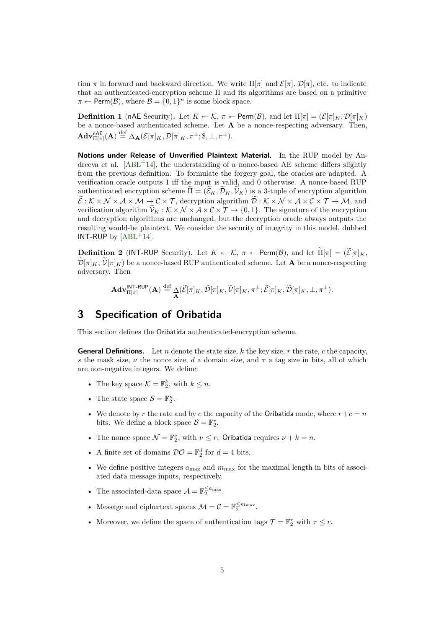tion  $\pi$  in forward and backward direction. We write  $\Pi[\pi]$  and  $\mathcal{E}[\pi], \mathcal{D}[\pi]$ , etc. to indicate that an authenticated-encryption scheme Π and its algorithms are based on a primitive  $\pi \leftarrow \text{Perm}(\mathcal{B})$ , where  $\mathcal{B} = \{0, 1\}^n$  is some block space.

**Definition 1** (nAE Security). Let  $K \leftarrow K$ ,  $\pi \leftarrow \text{Perm}(\mathcal{B})$ , and let  $\Pi[\pi] = (\mathcal{E}[\pi]_K, \mathcal{D}[\pi]_K)$ be a nonce-based authenticated scheme. Let **A** be a nonce-respecting adversary. Then,  $\mathbf{Adv}_{\Pi[\pi]}^{\mathsf{nAE}}(\mathbf{A}) \stackrel{\text{def}}{=} \Delta_{\mathbf{A}}(\mathcal{E}[\pi]_K, \mathcal{D}[\pi]_K, \pi^{\pm}; \$, \bot, \pi^{\pm}).$ 

**Notions under Release of Unverified Plaintext Material.** In the RUP model by Andreeva et al.  $[ABL^+14]$ , the understanding of a nonce-based AE scheme differs slightly from the previous definition. To formulate the forgery goal, the oracles are adapted. A verification oracle outputs 1 iff the input is valid, and 0 otherwise. A nonce-based RUP authenticated encryption scheme  $\tilde{\Pi} = (\tilde{\mathcal{E}}_K, \tilde{\mathcal{D}}_K, \tilde{\mathcal{V}}_K)$  is a 3-tuple of encryption algorithm  $\widetilde{\mathcal{E}}:\mathcal{K}\times\mathcal{N}\times\mathcal{A}\times\mathcal{M}\rightarrow\mathcal{C}\times\mathcal{T}$ , decryption algorithm  $\widetilde{\mathcal{D}}:\mathcal{K}\times\mathcal{N}\times\mathcal{A}\times\mathcal{C}\times\mathcal{T}\rightarrow\mathcal{M}$ , and verification algorithm  $V_K : \mathcal{K} \times \mathcal{N} \times \mathcal{A} \times \mathcal{C} \times \mathcal{T} \to \{0,1\}$ . The signature of the encryption and decryption algorithms are unchanged, but the decryption oracle always outputs the resulting would-be plaintext. We consider the security of integrity in this model, dubbed INT-RUP by  $[ABL+14]$ .

**Definition 2** (INT-RUP Security). Let  $K \leftarrow K$ ,  $\pi \leftarrow \text{Perm}(\mathcal{B})$ , and let  $\Pi[\pi] = (\widetilde{\mathcal{E}}[\pi]_K)$ ,  $\widetilde{\mathcal{D}}[\pi]_K$ ,  $\widetilde{\mathcal{V}}[\pi]_K$ ) be a nonce-based RUP authenticated scheme. Let **A** be a nonce-respecting adversary. Then

$$
\mathbf{Adv}_{\Pi[\pi]}^{\mathsf{INT-RUP}}(\mathbf{A}) \stackrel{\mathrm{def}}{=} \mathop{\Delta}\limits_{\mathbf{A}}(\widetilde{\mathcal{E}}[\pi]_K,\widetilde{\mathcal{D}}[\pi]_K,\widetilde{\mathcal{V}}[\pi]_K,\pi^{\pm};\widetilde{\mathcal{E}}[\pi]_K,\widetilde{\mathcal{D}}[\pi]_K,\bot,\pi^{\pm}).
$$

### <span id="page-4-0"></span>**3 Specification of Oribatida**

This section defines the Oribatida authenticated-encryption scheme.

**General Definitions.** Let *n* denote the state size, *k* the key size, *r* the rate, *c* the capacity, *s* the mask size,  $\nu$  the nonce size, *d* a domain size, and  $\tau$  a tag size in bits, all of which are non-negative integers. We define:

- The key space  $\mathcal{K} = \mathbb{F}_2^k$ , with  $k \leq n$ .
- The state space  $S = \mathbb{F}_2^n$ .
- We denote by *r* the rate and by *c* the capacity of the Oribatida mode, where  $r+c=n$ bits. We define a block space  $\mathcal{B} = \mathbb{F}_2^r$ .
- The nonce space  $\mathcal{N} = \mathbb{F}_2^{\nu}$ , with  $\nu \leq r$ . Oribatida requires  $\nu + k = n$ .
- A finite set of domains  $\mathcal{DO} = \mathbb{F}_2^d$  for  $d = 4$  bits.
- We define positive integers  $a_{\text{max}}$  and  $m_{\text{max}}$  for the maximal length in bits of associated data message inputs, respectively.
- The associated-data space  $A = \mathbb{F}_2^{\leq a_{\text{max}}}$ .
- Message and ciphertext spaces  $\mathcal{M} = \mathcal{C} = \mathbb{F}_2^{\leq m_{\text{max}}}$ .
- Moreover, we define the space of authentication tags  $\mathcal{T} = \mathbb{F}_2^{\tau}$  with  $\tau \leq r$ .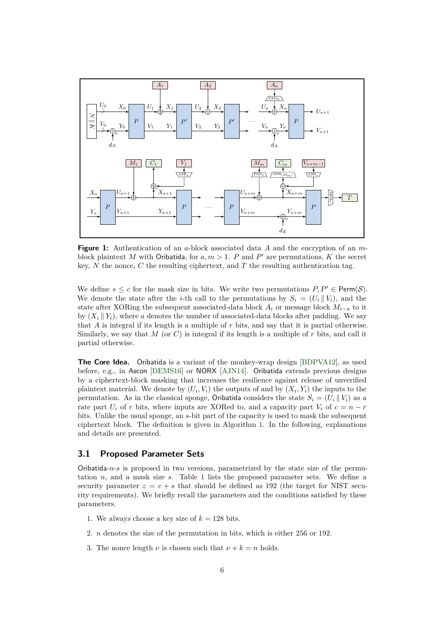

**Figure 1:** Authentication of an *a*-block associated data *A* and the encryption of an *m*block plaintext *M* with Oribatida, for  $a, m > 1$ . *P* and *P'* are permutations, *K* the secret key, *N* the nonce, *C* the resulting ciphertext, and *T* the resulting authentication tag.

We define  $s \leq c$  for the mask size in bits. We write two permutations  $P, P' \in \text{Perm}(\mathcal{S})$ . We denote the state after the *i*-th call to the permutations by  $S_i = (U_i || V_i)$ , and the state after XORing the subsequent associated-data block  $A_i$  or message block  $M_{i-a}$  to it by  $(X_i \| Y_i)$ , where *a* denotes the number of associated-data blocks after padding. We say that *A* is integral if its length is a multiple of *r* bits, and say that it is partial otherwise. Similarly, we say that *M* (or *C*) is integral if its length is a multiple of *r* bits, and call it partial otherwise.

**The Core Idea.** Oribatida is a variant of the monkey-wrap design [\[BDPVA12\]](#page-22-0), as used before, e.g., in Ascon [\[DEMS16\]](#page-23-0) or NORX [AJN14]. Oribatida extends previous designs by a ciphertext-block masking that increases the resilience against release of unverified plaintext material. We denote by  $(U_i, V_i)$  the outputs of and by  $(X_i, Y_i)$  the inputs to the permutation. As in the classical sponge, Oribatida considers the state  $S_i = (U_i || V_i)$  as a rate part  $U_i$  of *r* bits, where inputs are XORed to, and a capacity part  $V_i$  of  $c = n - r$ bits. Unlike the usual sponge, an *s*-bit part of the capacity is used to mask the subsequent ciphertext block. The definition is given in Algorithm [1.](#page-7-1) In the following, explanations and details are presented.

#### <span id="page-5-0"></span>**3.1 Proposed Parameter Sets**

Oribatida-*n*-*s* is proposed in two versions, parametrized by the state size of the permutation *n*, and a mask size *s*. Table [1](#page-6-1) lists the proposed parameter sets. We define a security parameter  $z = c + s$  that should be defined as 192 (the target for NIST security requirements). We briefly recall the parameters and the conditions satisfied by these parameters.

- 1. We always choose a key size of  $k = 128$  bits.
- 2. *n* denotes the size of the permutation in bits, which is either 256 or 192.
- 3. The nonce length  $\nu$  is chosen such that  $\nu + k = n$  holds.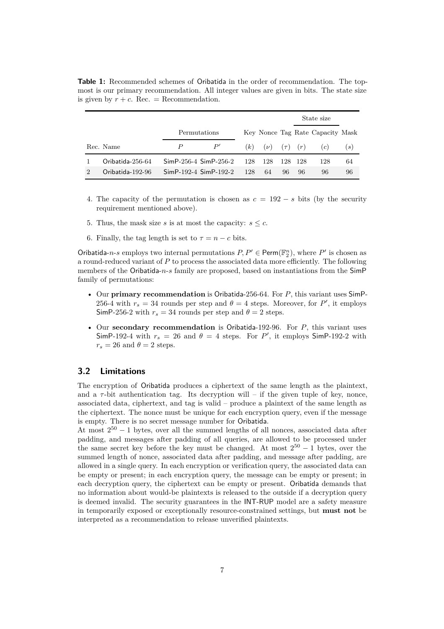<span id="page-6-1"></span>**Table 1:** Recommended schemes of Oribatida in the order of recommendation. The topmost is our primary recommendation. All integer values are given in bits. The state size is given by  $r + c$ . Rec. = Recommendation.

|                  |                           |     |                        |    |         | State size                       |     |
|------------------|---------------------------|-----|------------------------|----|---------|----------------------------------|-----|
|                  | Permutations              |     |                        |    |         | Key Nonce Tag Rate Capacity Mask |     |
| Rec. Name        | P'                        | (k) | $(\nu)$ $(\tau)$ $(r)$ |    |         | (c)                              | (s) |
| Oribatida-256-64 | $SimP-256-4$ $SimP-256-2$ | 128 | 128                    |    | 128 128 | 128                              | 64  |
| Oribatida-192-96 | $SimP-192-4$ $SimP-192-2$ | 128 | 64                     | 96 | 96      | 96                               | 96  |

- 4. The capacity of the permutation is chosen as  $c = 192 s$  bits (by the security requirement mentioned above).
- 5. Thus, the mask size *s* is at most the capacity:  $s \leq c$ .
- 6. Finally, the tag length is set to  $\tau = n c$  bits.

Oribatida-*n*-*s* employs two internal permutations  $P, P' \in \text{Perm}(\mathbb{F}_2^n)$ , where  $P'$  is chosen as a round-reduced variant of *P* to process the associated data more efficiently. The following members of the Oribatida-*n*-*s* family are proposed, based on instantiations from the SimP family of permutations:

- Our **primary recommendation** is Oribatida-256-64. For *P*, this variant uses SimP-256-4 with  $r_s = 34$  rounds per step and  $\theta = 4$  steps. Moreover, for P', it employs SimP-256-2 with  $r_s = 34$  rounds per step and  $\theta = 2$  steps.
- Our **secondary recommendation** is Oribatida-192-96. For *P*, this variant uses SimP-192-4 with  $r_s = 26$  and  $\theta = 4$  steps. For P', it employs SimP-192-2 with  $r_s = 26$  and  $\theta = 2$  steps.

### <span id="page-6-0"></span>**3.2 Limitations**

The encryption of Oribatida produces a ciphertext of the same length as the plaintext, and a  $\tau$ -bit authentication tag. Its decryption will – if the given tuple of key, nonce, associated data, ciphertext, and tag is valid – produce a plaintext of the same length as the ciphertext. The nonce must be unique for each encryption query, even if the message is empty. There is no secret message number for Oribatida.

At most  $2^{50} - 1$  bytes, over all the summed lengths of all nonces, associated data after padding, and messages after padding of all queries, are allowed to be processed under the same secret key before the key must be changed. At most  $2^{50} - 1$  bytes, over the summed length of nonce, associated data after padding, and message after padding, are allowed in a single query. In each encryption or verification query, the associated data can be empty or present; in each encryption query, the message can be empty or present; in each decryption query, the ciphertext can be empty or present. Oribatida demands that no information about would-be plaintexts is released to the outside if a decryption query is deemed invalid. The security guarantees in the INT-RUP model are a safety measure in temporarily exposed or exceptionally resource-constrained settings, but **must not** be interpreted as a recommendation to release unverified plaintexts.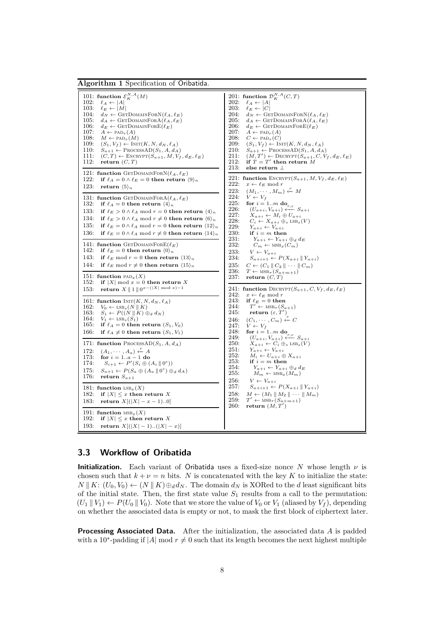```
Algorithm 1 Specification of Oribatida.
     101: function \mathcal{E}_K^{N,A}(M)102: \ell_A \leftarrow |A|<br>103: \ell_E \leftarrow |M|103: \ell_E \leftarrow |M|<br>104: d_N \leftarrow GF
    104: d_N \leftarrow \text{GETDOMAINFORN}(\ell_A, \ell_E)<br>105: d_A \leftarrow \text{GETDOMAINFORA}(\ell_A, \ell_F)105: d_A \leftarrow \text{GETDOMAINFORA}(\ell_A, \ell_E)<br>106: d_E \leftarrow \text{GETDOMAINFORE}(\ell_E)106: d_E \leftarrow \text{GETDOMAINFORE}(\ell_E)<br>107: A \leftarrow \text{PAD}_n(A)107: \overline{A} \leftarrow \text{PAD}_r(A)<br>108: M \leftarrow \text{PAD}_r(M)108: M \leftarrow \text{PAD}_r(M)<br>109: (S_1, V_f) \leftarrow \text{INT}109: (S_1, V_f) \leftarrow \text{INT}(K, N, d_N, \ell_A)<br>
110: S_{a+1} \leftarrow \text{ProcessAD}(S_1, A, d_A)111: (C, T) \leftarrow \text{ENCRYPT}(S_{a+1}, M, V_f, d_E, \ell_E)<br>112: return (C, T)return (C, T)121: function GETDOMAINFORN(\ell_A, \ell_E)<br>122. if \ell_A = 0 \land \ell_E = 0 then return
    122: if \ell_A = 0 \land \ell_E = 0 then return \langle 9 \rangle_n<br>123: return \langle 5 \rangle_nreturn (5)<sup>n</sup>
    131: function GETDOMAINFORA(\ell_A, \ell_E)
    132: if \ell_A = 0 then return \langle 4 \rangle_n133: if \ell_E > 0 \land \ell_A \mod r = 0 then return \langle 4 \rangle_n134: if \ell_E > 0 \wedge \ell_A \mod r \neq 0 then return \langle 6 \rangle_n135: if \ell_E = 0 \land \ell_A \mod r = 0 then return \langle 12 \rangle_n136: if \ell_E = 0 \land \ell_A \mod r \neq 0 then return \langle 14 \rangle_n141: function GETDOMAINFORE(\ell_E)<br>142: if \ell_F = 0 then return \langle 0 \rangle_n142: if \ell_E = 0 then return \langle 0 \rangle_n<br>143: if \ell_E mod r = 0 then return
    143: if \ell_E \mod r = 0 then return \langle 13 \rangle_n<br>144: if \ell_F \mod r \neq 0 then return \langle 15 \rangle_nif \ell_E \mod r \neq 0 then return \langle 15 \rangle_n151: function \text{PAD}_x(X)<br>152: if | X| mod x = 0if |X| mod \overline{x} = 0 then return X
     153: return X \parallel 1 \parallel 0^{x-(|X| \mod x)-1}161: function \text{INIT}(K, N, d_N, \ell_A)<br>162: V_0 \leftarrow \text{LSB}_e(N \parallel K)162: V_0 \leftarrow \text{LSB}_s(N \parallel K)<br>
163: S_1 \leftarrow P((N \parallel K) \oplus_d d_N)164: V_1 \leftarrow \text{LSB}_s(S_1)<br>165: if \ell_A = 0 then
                 if \ell_A = 0 then return (S_1, V_0)166: if \ell_A \neq 0 then return (S_1, V_1)171: function PROCESSAD(S_1, A, d_A)172: (A_1, \cdots, A_a) \leftarrow^r A173: for i = 1..a − 1 do
     174: S_{i+1} \leftarrow P'(S_i \oplus (A_i \parallel 0^c))175: S_{a+1} \leftarrow P(S_a \oplus (A_a \parallel 0^c) \oplus_d d_A)175: S_{a+1} \leftarrow P(S_a)<br>176: return S_{a+1}181: function LSB_x(X)<br>182: if |X| < x then
                 if |X| \leq x then return X
    183: return X[(|X| - x - 1)...0]191: function MSB_x(X)<br>192: if |X| \leq x then r
                 if |X| \leq x then return X
    193: return X[(|X| - 1)...(|X| - x)]201: function \mathcal{D}_{K}^{N,A}(C,T)202: \ell_A \leftarrow |A|<br>203: \ell_E \leftarrow |C|203: \ell_E \leftarrow |C|<br>204: d_N \leftarrow \text{GF}204: d_N \leftarrow \text{GETDOMAINFORN}(\ell_A, \ell_E)<br>205: d_A \leftarrow \text{GETDOMAINFORA}(\ell_A, \ell_F)205: d_A \leftarrow \text{GETDOMAINFORA}(\ell_A, \ell_E)<br>206: d_E \leftarrow \text{GETDOMAINFORE}(\ell_E)206: d_E \leftarrow \text{GETDOMAINFORE}(\ell_E)<br>207: A \leftarrow \text{PAD}_n(A)207: \overline{A} \leftarrow \text{PAD}_r(A)<br>208: C \leftarrow \text{PAD}_r(C)208: C \leftarrow \text{PAD}_r(C)<br>209: (S_1, V_f) \leftarrow \text{IN}209: (S_1, V_f) \leftarrow \text{INT}(K, N, d_N, \ell_A)<br>210: S_{a+1} \leftarrow \text{ProcessAD}(S_1, A, d_A)211: (M, T') \leftarrow \text{DecRYPT}(S_{a+1}, C, V_f, d_E, \ell_E)<br>
212: if T = T' then return M
                                                                                                                            213: else return ⊥
                                                                                                                           221: function ENCRYPT(S_{a+1}, M, V_f, d_E, \ell_E)<br>222: x \leftarrow \ell_E \mod r222: x \leftarrow \ell_E \mod r<br>223: (M_1, \cdots, M_m)223: (M_1, \cdots, M_m) \stackrel{r}{\leftarrow} M224: V \leftarrow V_f225: for i = 1..m do
                                                                                                                            226: (U_{a+i}, V_{a+i}) \xleftarrow{r,c} S_{a+i}227: X_{a+i} \leftarrow M_i \oplus U_{a+i}<br>
228: C_i \leftarrow X_{a+i} \oplus_s \text{LSB}_s(V)229: Y_{a+i} \leftarrow V_{a+i}<br>
230: if i = m then
                                                                                                                            231: Y_{a+i} \leftarrow Y_{a+i} \oplus_d d_E<br>232: C_m \leftarrow \text{MSB}_x(C_m)C_m \leftarrow \text{MSB}_x(C_m)233: V \leftarrow V_{a+i}<br>234: S_{a+i+1} \leftarrow P(X_{a+i} \parallel Y_{a+i})235: C \leftarrow (C_1 || C_2 || \cdots || C_m)<br>236: T \leftarrow \text{MSB}(\textit{S}_{\text{c}} | \textit{m} | 1)236: T \leftarrow \text{MSB}_{\tau}(S_{a+m+1})<br>237: return (C, T)241: function DECRYPT(S_{a+1}, C, V_f, d_E, \ell_E)<br>242: x \leftarrow \ell_F \mod r242: x \leftarrow \ell_E \mod r<br>
243: \text{if } \ell_E = 0 \text{ then}244:<br>245:
                                                                                                                            244: T' \leftarrow \text{MSB}_{\tau}(S_{a+1})<br>245: return (\varepsilon, T')246: (C_1, \cdots, C_m) \stackrel{r}{\leftarrow} C247: \quad V \leftarrow V_f<br>
248: \quad \textbf{for } i = 1..m \textbf{ do}249: (U_{a+i}, V_{a+i}) \xleftarrow{r,c} S_{a+i}<br>
250: X_{a+i} \leftarrow C_i \oplus s \text{ LSB}_s(V)251: Y_{a+i} \leftarrow V_{a+i}<br>252: M_i \leftarrow U_{a+i} \oplus X_{a+i}253: if i = m then
                                                                                                                            254: Y_{a+i} \leftarrow Y_{a+i} \oplus_d d_E<br>255: M_m \leftarrow \text{MSB}_x(M_m)256: V \leftarrow V_{a+i}<br>257: S_{a+i+1} \leftarrowS_{a+i+1} \leftarrow P(X_{a+i} \parallel Y_{a+i})258: M \leftarrow (M_1 \, \| \, M_2 \, \| \, \cdots \, \| \, M_m)<br>
259: T' \leftarrow \text{MSB}_{\tau}(S_{a+m+1})<br>
260: return (M, T')259:<br>260:
```
#### <span id="page-7-0"></span>**3.3 Workflow of Oribatida**

**Initialization.** Each variant of Oribatida uses a fixed-size nonce N whose length  $\nu$  is chosen such that  $k + \nu = n$  bits. *N* is concatenated with the key *K* to initialize the state:  $N \parallel K: (U_0, V_0) \leftarrow (N \parallel K) \oplus_d d_N$ . The domain  $d_N$  is XORed to the *d* least significant bits of the initial state. Then, the first state value  $S_1$  results from a call to the permutation:  $(U_1 \, \| \, V_1) \leftarrow P(U_0 \, \| \, V_0)$ . Note that we store the value of  $V_0$  or  $V_1$  (aliased by  $V_f$ ), depending on whether the associated data is empty or not, to mask the first block of ciphertext later.

**Processing Associated Data.** After the initialization, the associated data *A* is padded with a 10<sup>\*</sup>-padding if |*A*| mod  $r \neq 0$  such that its length becomes the next highest multiple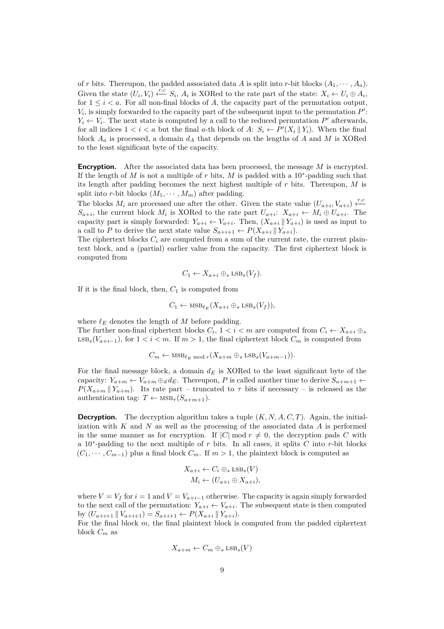of *r* bits. Thereupon, the padded associated data *A* is split into *r*-bit blocks  $(A_1, \dots, A_a)$ . Given the state  $(U_i, V_i) \stackrel{r,c}{\leftarrow} S_i$ ,  $A_i$  is XORed to the rate part of the state:  $X_i \leftarrow U_i \oplus A_i$ , for  $1 \leq i \leq a$ . For all non-final blocks of A, the capacity part of the permutation output,  $V_i$ , is simply forwarded to the capacity part of the subsequent input to the permutation  $P'$ :  $Y_i \leftarrow V_i$ . The next state is computed by a call to the reduced permutation  $P'$  afterwards, for all indices  $1 < i < a$  but the final *a*-th block of  $A: S_i \leftarrow P'(X_i || Y_i)$ . When the final block  $A_a$  is processed, a domain  $d_A$  that depends on the lengths of  $A$  and  $M$  is XORed to the least significant byte of the capacity.

**Encryption.** After the associated data has been processed, the message *M* is encrypted. If the length of  $M$  is not a multiple of  $r$  bits,  $M$  is padded with a 10<sup>\*</sup>-padding such that its length after padding becomes the next highest multiple of *r* bits. Thereupon, *M* is split into *r*-bit blocks  $(M_1, \dots, M_m)$  after padding.

The blocks  $M_i$  are processed one after the other. Given the state value  $(U_{a+i}, V_{a+i}) \xleftarrow{r,c}$ *S*<sub>*a*+*i*</sub>, the current block *M*<sup>*i*</sup> is XORed to the rate part  $U_{a+i}: X_{a+i} \leftarrow M_i \oplus U_{a+i}$ . The capacity part is simply forwarded:  $Y_{a+i} \leftarrow V_{a+i}$ . Then,  $(X_{a+i} || Y_{a+i})$  is used as input to a call to *P* to derive the next state value  $S_{a+i+1} \leftarrow P(X_{a+i} \mid \mid Y_{a+i})$ .

The ciphertext blocks  $C_i$  are computed from a sum of the current rate, the current plaintext block, and a (partial) earlier value from the capacity. The first ciphertext block is computed from

$$
C_1 \leftarrow X_{a+i} \oplus_s \text{LSB}_s(V_f).
$$

If it is the final block, then,  $C_1$  is computed from

$$
C_1 \leftarrow \text{MSB}_{\ell_E}(X_{a+i} \oplus_s \text{LSB}_s(V_f)),
$$

where  $\ell_E$  denotes the length of  $M$  before padding.

The further non-final ciphertext blocks  $C_i$ ,  $1 \lt i \lt m$  are computed from  $C_i \leftarrow X_{a+i} \oplus_s$ LSB<sub>s</sub>( $V_{a+i-1}$ ), for 1 *< i < m*. If *m* > 1, the final ciphertext block  $C_m$  is computed from

$$
C_m \leftarrow \text{MSB}_{\ell_E \text{ mod } r}(X_{a+m} \oplus_s \text{LSB}_s(V_{a+m-1})).
$$

For the final message block, a domain *d<sup>E</sup>* is XORed to the least significant byte of the capacity:  $Y_{a+m} \leftarrow V_{a+m} \oplus_d d_E$ . Thereupon, P is called another time to derive  $S_{a+m+1}$  ←  $P(X_{a+m}||Y_{a+m})$ . Its rate part – truncated to  $\tau$  bits if necessary – is released as the authentication tag:  $T \leftarrow \text{MSB}_{\tau}(S_{a+m+1}).$ 

**Decryption.** The decryption algorithm takes a tuple  $(K, N, A, C, T)$ . Again, the initialization with *K* and *N* as well as the processing of the associated data *A* is performed in the same manner as for encryption. If  $|C|$  mod  $r \neq 0$ , the decryption pads C with a 10<sup>∗</sup> -padding to the next multiple of *r* bits. In all cases, it splits *C* into *r*-bit blocks  $(C_1, \dots, C_{m-1})$  plus a final block  $C_m$ . If  $m > 1$ , the plaintext block is computed as

$$
X_{a+i} \leftarrow C_i \oplus_s \text{LSB}_s(V)
$$
  

$$
M_i \leftarrow (U_{a+i} \oplus X_{a+i}),
$$

where  $V = V_f$  for  $i = 1$  and  $V = V_{a+i-1}$  otherwise. The capacity is again simply forwarded to the next call of the permutation:  $Y_{a+i} \leftarrow V_{a+i}$ . The subsequent state is then computed  $\text{by } (U_{a+i+1} \parallel V_{a+i+1}) = S_{a+i+1} \leftarrow P(X_{a+i} \parallel Y_{a+i}).$ 

For the final block *m*, the final plaintext block is computed from the padded ciphertext block *C<sup>m</sup>* as

$$
X_{a+m} \leftarrow C_m \oplus_s \text{LSB}_s(V)
$$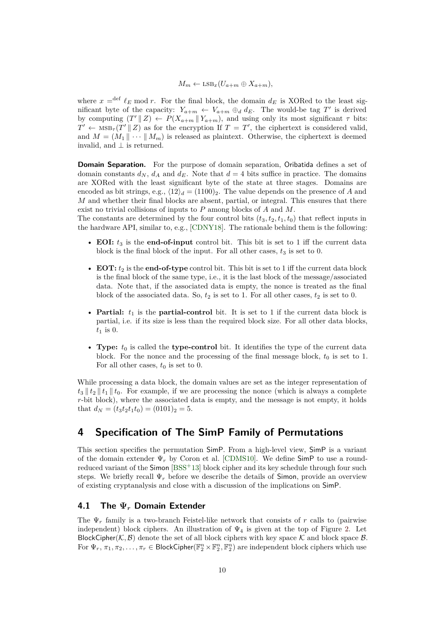$$
M_m \leftarrow \text{LSB}_x(U_{a+m} \oplus X_{a+m}),
$$

where  $x = det \ell_E \mod r$ . For the final block, the domain  $d_E$  is XORed to the least significant byte of the capacity:  $Y_{a+m} \leftarrow V_{a+m} \oplus_d d_E$ . The would-be tag T' is derived by computing  $(T' || Z) \leftarrow P(X_{a+m} || Y_{a+m})$ , and using only its most significant  $\tau$  bits:  $T' \leftarrow \text{MSB}_{\tau}(T' \mid Z)$  as for the encryption If  $T = T'$ , the ciphertext is considered valid, and  $M = (M_1 \| \cdots \| M_m)$  is released as plaintext. Otherwise, the ciphertext is deemed invalid, and  $\perp$  is returned.

**Domain Separation.** For the purpose of domain separation, Oribatida defines a set of domain constants  $d_N$ ,  $d_A$  and  $d_E$ . Note that  $d = 4$  bits suffice in practice. The domains are XORed with the least significant byte of the state at three stages. Domains are encoded as bit strings, e.g.,  $\langle 12 \rangle_d = (1100)_2$ . The value depends on the presence of *A* and *M* and whether their final blocks are absent, partial, or integral. This ensures that there exist no trivial collisions of inputs to *P* among blocks of *A* and *M*.

The constants are determined by the four control bits  $(t_3, t_2, t_1, t_0)$  that reflect inputs in the hardware API, similar to, e.g., [CDNY18]. The rationale behind them is the following:

- **EOI:**  $t_3$  is the **end-of-input** control bit. This bit is set to 1 iff the current data block is the final block of the input. For all other cases,  $t_3$  is set to 0.
- $\bullet$  **EOT:**  $t_2$  is the **end-of-type** control bit. This bit is set to 1 iff the current data block is the final block of the same type, i.e., it is the last block of the message/associated data. Note that, if the associated data is empty, the nonce is treated as the final block of the associated data. So,  $t_2$  is set to 1. For all other cases,  $t_2$  is set to 0.
- **Partial:**  $t_1$  is the **partial-control** bit. It is set to 1 if the current data block is partial, i.e. if its size is less than the required block size. For all other data blocks,  $t_1$  is 0.
- **Type:**  $t_0$  is called the **type-control** bit. It identifies the type of the current data block. For the nonce and the processing of the final message block,  $t_0$  is set to 1. For all other cases,  $t_0$  is set to 0.

While processing a data block, the domain values are set as the integer representation of  $t_3 || t_2 || t_1 || t_0$ . For example, if we are processing the nonce (which is always a complete *r*-bit block), where the associated data is empty, and the message is not empty, it holds that  $d_N = (t_3t_2t_1t_0) = (0101)_2 = 5.$ 

### <span id="page-9-0"></span>**4 Specification of The SimP Family of Permutations**

This section specifies the permutation SimP. From a high-level view, SimP is a variant of the domain extender  $\Psi_r$  by Coron et al. [CDMS10]. We define  $\mathsf{SimP}$  to use a roundreduced variant of the Simon [BSS+13] block cipher and its key schedule through four such steps. We briefly recall  $\Psi_r$  before we describe the details of **Simon**, provide an overview of existing cryptanalysis and close with a discussion of the implications on SimP.

#### <span id="page-9-1"></span>**4.1 The Ψ***<sup>r</sup>* **Domain Extender**

The Ψ*<sup>r</sup>* family is a two-branch Feistel-like network that consists of *r* calls to (pairwise independent) block ciphers. An illustration of  $\Psi_4$  is given at the top of Figure [2.](#page-10-1) Let BlockCipher( $K, B$ ) denote the set of all block ciphers with key space K and block space B. For  $\Psi_r, \pi_1, \pi_2, \ldots, \pi_r \in \text{BlockCipher}(\mathbb{F}_2^n \times \mathbb{F}_2^n, \mathbb{F}_2^n)$  are independent block ciphers which use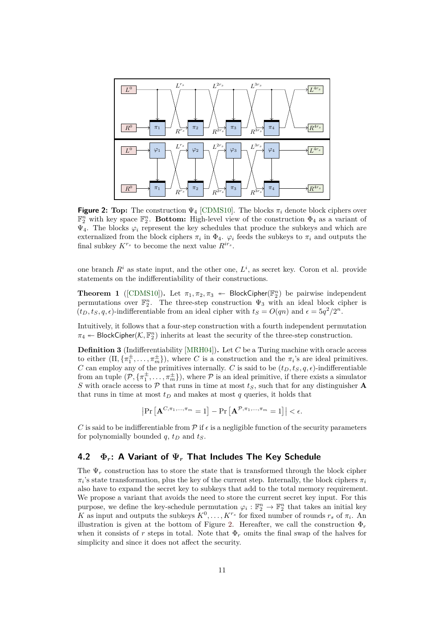<span id="page-10-1"></span>

**Figure 2: Top:** The construction  $\Psi_4$  [CDMS10]. The blocks  $\pi_i$  denote block ciphers over  $\mathbb{F}_2^n$  with key space  $\mathbb{F}_2^n$ . **Bottom:** High-level view of the construction  $\Phi_4$  as a variant of  $\Psi_4$ . The blocks  $\varphi_i$  represent the key schedules that produce the subkeys and which are externalized from the block ciphers  $\pi_i$  in  $\Phi_4$ .  $\varphi_i$  feeds the subkeys to  $\pi_i$  and outputs the final subkey  $K^{r_s}$  to become the next value  $R^{ir_s}$ .

one branch  $R^i$  as state input, and the other one,  $L^i$ , as secret key. Coron et al. provide statements on the indifferentiability of their constructions.

**Theorem 1** ([CDMS10]). Let  $\pi_1, \pi_2, \pi_3$   $\leftarrow$  BlockCipher( $\mathbb{F}_2^n$ ) be pairwise independent permutations over  $\mathbb{F}_2^n$ . The three-step construction  $\Psi_3$  with an ideal block cipher is  $(t_D, t_S, q, \epsilon)$ -indifferentiable from an ideal cipher with  $t_S = O(qn)$  and  $\epsilon = 5q^2/2^n$ .

Intuitively, it follows that a four-step construction with a fourth independent permutation  $\pi_4 \leftarrow \textsf{BlockCipher}(\mathcal{K}, \mathbb{F}_2^n)$  inherits at least the security of the three-step construction.

**Definition 3** (Indifferentiability [MRH04])**.** Let *C* be a Turing machine with oracle access to either  $(\Pi, {\{\pi_1^{\pm}, \ldots, \pi_m^{\pm}\}})$ , where *C* is a construction and the  $\pi_i$ 's are ideal primitives. *C* can employ any of the primitives internally. *C* is said to be  $(t_D, t_S, q, \epsilon)$ -indifferentiable from an tuple  $(\mathcal{P}, \{\pi_1^{\pm}, \ldots, \pi_m^{\pm}\})$ , where  $\mathcal P$  is an ideal primitive, if there exists a simulator *S* with oracle access to  $P$  that runs in time at most  $t_S$ , such that for any distinguisher **A** that runs in time at most  $t_D$  and makes at most  $q$  queries, it holds that

$$
\left|\Pr\left[\mathbf{A}^{C,\pi_1,...,\pi_m}=1\right]-\Pr\left[\mathbf{A}^{\mathcal{P},\pi_1,...,\pi_m}=1\right]\right|<\epsilon.
$$

*C* is said to be indifferentiable from  $\mathcal P$  if  $\epsilon$  is a negligible function of the security parameters for polynomially bounded  $q$ ,  $t_D$  and  $t_S$ .

#### <span id="page-10-0"></span>**4.2 Φ***r***: A Variant of Ψ***<sup>r</sup>* **That Includes The Key Schedule**

The  $\Psi_r$  construction has to store the state that is transformed through the block cipher  $\pi_i$ 's state transformation, plus the key of the current step. Internally, the block ciphers  $\pi_i$ also have to expand the secret key to subkeys that add to the total memory requirement. We propose a variant that avoids the need to store the current secret key input. For this purpose, we define the key-schedule permutation  $\varphi_i : \mathbb{F}_2^n \to \mathbb{F}_2^n$  that takes an initial key *K* as input and outputs the subkeys  $K^0, \ldots, K^{r_s}$  for fixed number of rounds  $r_s$  of  $\pi_i$ . An illustration is given at the bottom of Figure [2.](#page-10-1) Hereafter, we call the construction  $\Phi_r$ when it consists of *r* steps in total. Note that  $\Phi_r$  omits the final swap of the halves for simplicity and since it does not affect the security.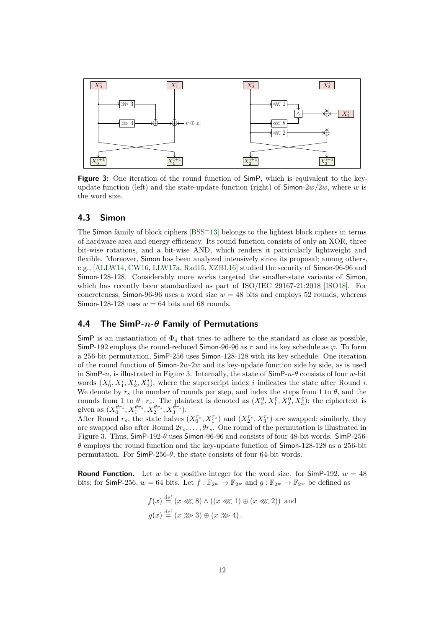<span id="page-11-2"></span>

**Figure 3:** One iteration of the round function of SimP, which is equivalent to the keyupdate function (left) and the state-update function (right) of  $\lim_{x \to a} 2w/2w$ , where *w* is the word size.

#### <span id="page-11-0"></span>**4.3 Simon**

The Simon family of block ciphers  $[BSS+13]$  belongs to the lightest block ciphers in terms of hardware area and energy efficiency. Its round function consists of only an XOR, three bit-wise rotations, and a bit-wise AND, which renders it particularly lightweight and flexible. Moreover, Simon has been analyzed intensively since its proposal; among others, e.g., [ALLW14, CW16, LLW17a, Rad15, XZBL16] studied the security of Simon-96-96 and Simon-128-128. Considerably more works targeted the smaller-state variants of Simon, which has recently been standardized as part of ISO/IEC 29167-21:2018 [\[ISO18\]](#page-23-1). For concreteness, Simon-96-96 uses a word size  $w = 48$  bits and employs 52 rounds, whereas Simon-128-128 uses  $w = 64$  bits and 68 rounds.

### <span id="page-11-1"></span>**4.4 The SimP-***n***-***θ* **Family of Permutations**

 $SimP$  is an instantiation of  $\Phi_4$  that tries to adhere to the standard as close as possible, SimP-192 employs the round-reduced Simon-96-96 as *π* and its key schedule as *ϕ*. To form a 256-bit permutation, SimP-256 uses Simon-128-128 with its key schedule. One iteration of the round function of Simon-2*w*-2*w* and its key-update function side by side, as is used in SimP-*n*, is illustrated in Figure [3.](#page-11-2) Internally, the state of SimP-*n*-*θ* consists of four *w*-bit words  $(X_0^i, X_1^i, X_2^i, X_3^i)$ , where the superscript index *i* indicates the state after Round *i*. We denote by  $r<sub>s</sub>$  the number of rounds per step, and index the steps from 1 to  $\theta$ , and the rounds from 1 to  $\theta \cdot r_s$ . The plaintext is denoted as  $(X_0^0, X_1^0, X_2^0, X_3^0)$ ; the ciphertext is given as  $(X_0^{\theta r_s}, X_1^{\theta r_s}, X_2^{\theta r_s}, X_3^{\theta r_s}).$ 

After Round  $r_s$ , the state halves  $(X_0^{r_s}, X_1^{r_s})$  and  $(X_2^{r_s}, X_3^{r_s})$  are swapped; similarly, they are swapped also after Round  $2r_s, \ldots, \theta r_s$ . One round of the permutation is illustrated in Figure [3.](#page-11-2) Thus, SimP-192-*θ* uses Simon-96-96 and consists of four 48-bit words. SimP-256 *θ* employs the round function and the key-update function of Simon-128-128 as a 256-bit permutation. For  $\mathsf{SimP\text{-}256\text{-}\theta}$ , the state consists of four 64-bit words.

**Round Function.** Let *w* be a positive integer for the word size. for  $\text{SimP-192}, w = 48$ bits; for SimP-256,  $w = 64$  bits. Let  $f : \mathbb{F}_{2^w} \to \mathbb{F}_{2^w}$  and  $g : \mathbb{F}_{2^w} \to \mathbb{F}_{2^w}$  be defined as

$$
f(x) \stackrel{\text{def}}{=} (x \ll 8) \land ((x \ll 1) \oplus (x \ll 2)) \text{ and}
$$

$$
g(x) \stackrel{\text{def}}{=} (x \gg 3) \oplus (x \gg 4).
$$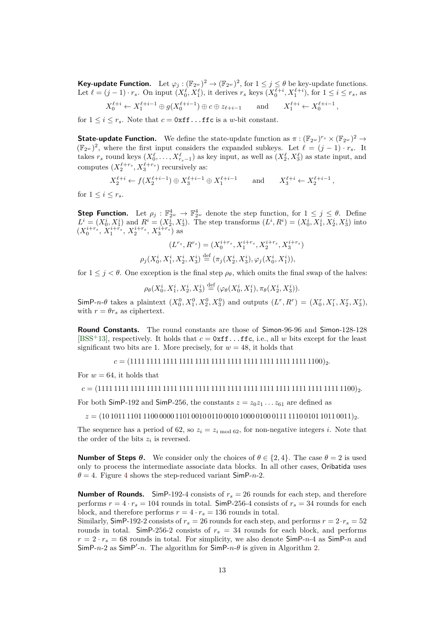**Key-update Function.** Let  $\varphi_j : (\mathbb{F}_{2^w})^2 \to (\mathbb{F}_{2^w})^2$ , for  $1 \leq j \leq \theta$  be key-update functions. Let  $\ell = (j-1) \cdot r_s$ . On input  $(X_0^{\ell}, X_1^{\ell})$ , it derives  $r_s$  keys  $(X_0^{\ell+i}, X_1^{\ell+i})$ , for  $1 \le i \le r_s$ , as

$$
X_0^{\ell+i} \leftarrow X_1^{\ell+i-1} \oplus g(X_0^{\ell+i-1}) \oplus c \oplus z_{\ell+i-1} \quad \text{and} \quad X_1^{\ell+i} \leftarrow X_0^{\ell+i-1},
$$

for  $1 \leq i \leq r_s$ . Note that  $c = 0$ xff...ffc is a *w*-bit constant.

**State-update Function.** We define the state-update function as  $\pi : (\mathbb{F}_{2^w})^{r_s} \times (\mathbb{F}_{2^w})^2 \to$  $(\mathbb{F}_{2^w})^2$ , where the first input considers the expanded subkeys. Let  $\ell = (j-1) \cdot r_s$ . It takes  $r_s$  round keys  $(X_0^{\ell},...,X_{r_s-1}^{\ell})$  as key input, as well as  $(X_2^{\ell},X_3^{\ell})$  as state input, and computes  $(X_2^{\ell+r_s}, X_3^{\ell+r_s})$  recursively as:

$$
X_2^{\ell+i} \leftarrow f(X_2^{\ell+i-1}) \oplus X_3^{\ell+i-1} \oplus X_1^{\ell+i-1}
$$
 and  $X_3^{\ell+i} \leftarrow X_2^{\ell+i-1}$ ,

for  $1 \leq i \leq r_s$ .

**Step Function.** Let  $\rho_j : \mathbb{F}_{2^w}^4 \to \mathbb{F}_{2^w}^4$  denote the step function, for  $1 \leq j \leq \theta$ . Define  $L^{i} = (X_0^{i}, X_1^{i})$  and  $R^{i} = (X_2^{i}, X_3^{i})$ . The step transforms  $(L^{i}, R^{i}) = (X_0^{i}, X_1^{i}, X_2^{i}, X_3^{i})$  into  $(X_0^{i+r_s}, X_1^{i+r_s}, X_2^{i+r_s}, X_3^{i+r_s})$  as

$$
(L^{r_s}, R^{r_s}) = (X_0^{i+r_s}, X_1^{i+r_s}, X_2^{i+r_s}, X_3^{i+r_s})
$$

$$
\rho_j(X_0^i, X_1^i, X_2^i, X_3^i) \stackrel{\text{def}}{=} (\pi_j(X_2^i, X_3^i), \varphi_j(X_0^i, X_1^i)),
$$

for  $1 \leq j \leq \theta$ . One exception is the final step  $\rho_{\theta}$ , which omits the final swap of the halves:

$$
\rho_{\theta}(X_0^i, X_1^i, X_2^i, X_3^i) \stackrel{\text{def}}{=} (\varphi_{\theta}(X_0^i, X_1^i), \pi_{\theta}(X_2^i, X_3^i)).
$$

SimP-n- $\theta$  takes a plaintext  $(X_0^0, X_1^0, X_2^0, X_3^0)$  and outputs  $(L^r, R^r) = (X_0^r, X_1^r, X_2^r, X_3^r)$ , with  $r = \theta r_s$  as ciphertext.

**Round Constants.** The round constants are those of Simon-96-96 and Simon-128-128 [BSS<sup>+</sup>13], respectively. It holds that  $c = 0$ xff...ffc, i.e., all *w* bits except for the least significant two bits are 1. More precisely, for  $w = 48$ , it holds that

*c* = (1111 1111 1111 1111 1111 1111 1111 1111 1111 1111 1111 1100)2*.*

For  $w = 64$ , it holds that

*c* = (1111 1111 1111 1111 1111 1111 1111 1111 1111 1111 1111 1111 1111 1111 1111 1100)2*.*

For both SimP-192 and SimP-256, the constants  $z = z_0 z_1 \dots z_{61}$  are defined as

 $z = (10\,1011\,1101\,1100\,0000\,1101\,0010\,0110\,0010\,1000\,0100\,0111\,1110\,0101\,1011\,0011)_{2}$ 

The sequence has a period of 62, so  $z_i = z_i \mod 62$ , for non-negative integers *i*. Note that the order of the bits  $z_i$  is reversed.

**Number of Steps** *θ***.** We consider only the choices of  $\theta \in \{2, 4\}$ . The case  $\theta = 2$  is used only to process the intermediate associate data blocks. In all other cases, Oribatida uses  $\theta = 4$  $\theta = 4$ . Figure 4 shows the step-reduced variant SimP-*n*-2.

**Number of Rounds.** SimP-192-4 consists of  $r_s = 26$  rounds for each step, and therefore performs  $r = 4 \cdot r_s = 104$  rounds in total. SimP-256-4 consists of  $r_s = 34$  rounds for each block, and therefore performs  $r = 4 \cdot r_s = 136$  rounds in total.

Similarly, SimP-192-2 consists of  $r_s = 26$  rounds for each step, and performs  $r = 2 \cdot r_s = 52$ rounds in total. SimP-256-2 consists of  $r<sub>s</sub> = 34$  rounds for each block, and performs  $r = 2 \cdot r_s = 68$  rounds in total. For simplicity, we also denote  $\textsf{SimP-}n-4$  as  $\textsf{SimP-}n$  and SimP- $n-2$  as SimP'- $n$ . The algorithm for SimP- $n-\theta$  is given in Algorithm [2.](#page-13-2)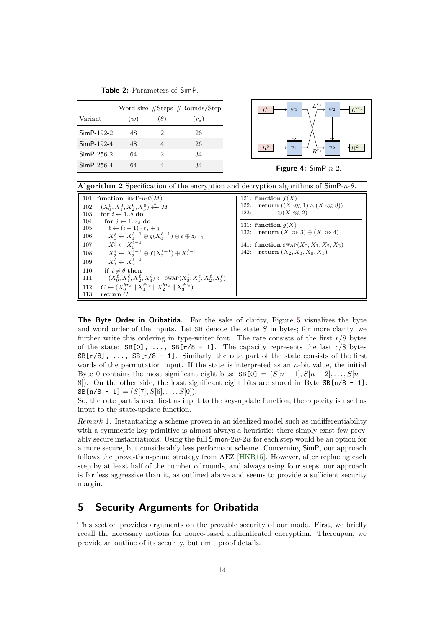**Table 2:** Parameters of SimP.

|              |     |            | Word size #Steps #Rounds/Step |
|--------------|-----|------------|-------------------------------|
| Variant      | (w) | $(\theta)$ | $(r_s)$                       |
| $SimP-192-2$ | 48  | 2          | 26                            |
| $SimP-192-4$ | 48  | 4          | 26                            |
| $SimP-256-2$ | 64  | 2          | 34                            |
| $SimP-256-4$ | 64  |            | 34                            |

<span id="page-13-1"></span>

**Figure 4:** SimP-*n*-2.

<span id="page-13-2"></span>

| <b>Algorithm 2</b> Specification of the encryption and decryption algorithms of $\text{SimP-}n-\theta$ .                                                                                                                                                                                                                                                                                                                                                                                                                                                                                                                                                                                                                                                                                                                                                    |                                                                                                                                                                                                                                                                   |  |  |  |  |  |  |  |  |
|-------------------------------------------------------------------------------------------------------------------------------------------------------------------------------------------------------------------------------------------------------------------------------------------------------------------------------------------------------------------------------------------------------------------------------------------------------------------------------------------------------------------------------------------------------------------------------------------------------------------------------------------------------------------------------------------------------------------------------------------------------------------------------------------------------------------------------------------------------------|-------------------------------------------------------------------------------------------------------------------------------------------------------------------------------------------------------------------------------------------------------------------|--|--|--|--|--|--|--|--|
| 101: function $\text{SimP-}n-\theta(M)$<br>$(X_0^0, X_1^0, X_2^0, X_3^0) \xleftarrow{w} M$<br>102:<br>for $i \leftarrow 1\theta$ do<br>103.<br>104:<br>for $i \leftarrow 1r_s$ do<br>$\ell \leftarrow (i-1) \cdot r_s + i$<br>105:<br>$X_0^{\ell} \leftarrow X_1^{\ell-1} \oplus g(X_0^{\ell-1}) \oplus c \oplus z_{\ell-1}$<br>106:<br>$X_1^{\ell} \leftarrow X_0^{\ell-1}$<br>107:<br>$X_2^{\ell} \leftarrow X_3^{\ell-1} \oplus f(X_2^{\ell-1}) \oplus X_1^{\ell-1}$<br>108:<br>$X_2^{\ell} \leftarrow X_2^{\ell-1}$<br>109:<br>110:<br>if $i \neq \theta$ then<br>$(X_0^{\ell}, X_1^{\ell}, X_2^{\ell}, X_3^{\ell}) \leftarrow \text{SWAP}(X_0^{\ell}, X_1^{\ell}, X_2^{\ell}, X_3^{\ell})$<br>111:<br>$C \leftarrow (X_0^{\theta r_s} \parallel X_1^{\theta r_s} \parallel X_2^{\theta r_s} \parallel X_3^{\theta r_s})$<br>112:<br>113:<br>return $C$ | 121: function $f(X)$<br>122: return $((X \ll 1) \wedge (X \ll 8))$<br>$\oplus (X \ll 2)$<br>123.<br>131: function $q(X)$<br>132: return $(X \gg 3) \oplus (X \gg 4)$<br>141: <b>function</b> SWAP $(X_0, X_1, X_2, X_3)$<br>return $(X_2, X_3, X_0, X_1)$<br>142: |  |  |  |  |  |  |  |  |

**The Byte Order in Oribatida.** For the sake of clarity, Figure [5](#page-14-0) visualizes the byte and word order of the inputs. Let SB denote the state *S* in bytes; for more clarity, we further write this ordering in type-writer font. The rate consists of the first  $r/8$  bytes of the state:  $SB[0], \ldots, SB[r/8 - 1].$  The capacity represents the last  $c/8$  bytes  $SB[r/8], \ldots$ ,  $SB[n/8 - 1]$ . Similarly, the rate part of the state consists of the first words of the permutation input. If the state is interpreted as an *n*-bit value, the initial Byte 0 contains the most significant eight bits:  $SB[0] = (S[n-1], S[n-2], \ldots, S[n-1])$ 8]). On the other side, the least significant eight bits are stored in Byte  $SB[n/8 - 1]$ :  $SB[n/8 - 1] = (S[7], S[6], \ldots, S[0]).$ 

So, the rate part is used first as input to the key-update function; the capacity is used as input to the state-update function.

*Remark* 1*.* Instantiating a scheme proven in an idealized model such as indifferentiability with a symmetric-key primitive is almost always a heuristic: there simply exist few provably secure instantiations. Using the full Simon-2*w*-2*w* for each step would be an option for a more secure, but considerably less performant scheme. Concerning SimP, our approach follows the prove-then-prune strategy from AEZ [HKR15]. However, after replacing each step by at least half of the number of rounds, and always using four steps, our approach is far less aggressive than it, as outlined above and seems to provide a sufficient security margin.

### <span id="page-13-0"></span>**5 Security Arguments for Oribatida**

This section provides arguments on the provable security of our mode. First, we briefly recall the necessary notions for nonce-based authenticated encryption. Thereupon, we provide an outline of its security, but omit proof details.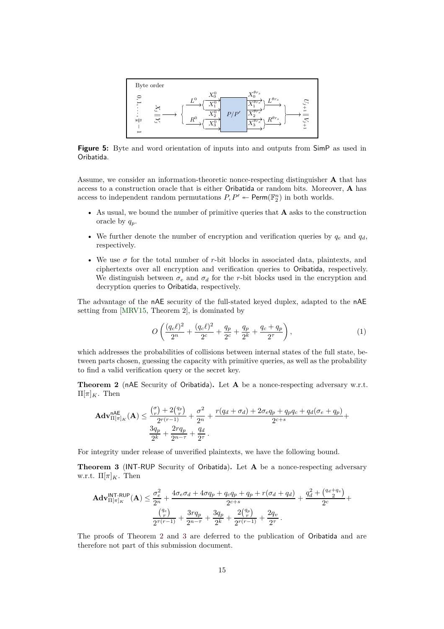<span id="page-14-0"></span>

**Figure 5:** Byte and word orientation of inputs into and outputs from SimP as used in Oribatida.

Assume, we consider an information-theoretic nonce-respecting distinguisher **A** that has access to a construction oracle that is either Oribatida or random bits. Moreover, **A** has access to independent random permutations  $P, P' \leftarrow \text{Perm}(\mathbb{F}_2^n)$  in both worlds.

- As usual, we bound the number of primitive queries that **A** asks to the construction oracle by *qp*.
- We further denote the number of encryption and verification queries by  $q_e$  and  $q_d$ , respectively.
- We use  $\sigma$  for the total number of *r*-bit blocks in associated data, plaintexts, and ciphertexts over all encryption and verification queries to Oribatida, respectively. We distinguish between  $\sigma_e$  and  $\sigma_d$  for the *r*-bit blocks used in the encryption and decryption queries to Oribatida, respectively.

The advantage of the nAE security of the full-stated keyed duplex, adapted to the nAE setting from [MRV15, Theorem 2], is dominated by

$$
O\left(\frac{(q_c\ell)^2}{2^n} + \frac{(q_c\ell)^2}{2^c} + \frac{q_p}{2^c} + \frac{q_p}{2^k} + \frac{q_c + q_p}{2^{\tau}}\right),\tag{1}
$$

which addresses the probabilities of collisions between internal states of the full state, between parts chosen, guessing the capacity with primitive queries, as well as the probability to find a valid verification query or the secret key.

<span id="page-14-1"></span>**Theorem 2** (nAE Security of Oribatida)**.** Let **A** be a nonce-respecting adversary w.r.t.  $\Pi[\pi]_K$ . Then

$$
\mathbf{Adv}_{\Pi[\pi]_K}^{\mathsf{nAE}}(\mathbf{A}) \le \frac{{\binom{\sigma}{r}} + 2{\binom{q_p}{r}}}{{2^{r(r-1)}}} + \frac{\sigma^2}{2^n} + \frac{r(q_d + \sigma_d) + 2\sigma_e q_p + q_p q_c + q_d(\sigma_e + q_p)}{{2^{c+s}}}\n+ \frac{3q_p}{{2^k}} + \frac{2rq_p}{{2^{n-r}}} + \frac{q_d}{{2^r}}.
$$

For integrity under release of unverified plaintexts, we have the following bound.

<span id="page-14-2"></span>**Theorem 3** (INT-RUP Security of Oribatida)**.** Let **A** be a nonce-respecting adversary w.r.t.  $\Pi[\pi]_K$ . Then

$$
\mathbf{Adv}_{\Pi[\pi]_K}^{\mathsf{INT-RUP}}(\mathbf{A}) \le \frac{\sigma_e^2}{2^n} + \frac{4\sigma_e\sigma_d + 4\sigma q_p + q_cq_p + q_p + r(\sigma_d + q_d)}{2^{c+s}} + \frac{q_d^2 + \binom{q_d + q_v}{2}}{2^c} + \frac{\binom{q_e}{r}}{2^{\tau(r-1)}} + \frac{3rq_p}{2^{n-\tau}} + \frac{3q_p}{2^k} + \frac{2\binom{q_p}{r}}{2^{\tau(r-1)}} + \frac{2q_v}{2^{\tau}}.
$$

The proofs of Theorem [2](#page-14-1) and [3](#page-14-2) are deferred to the publication of Oribatida and are therefore not part of this submission document.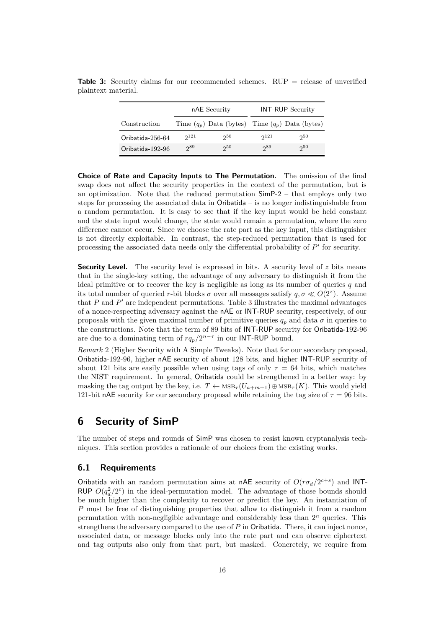|                  |           | nAE Security                                        |           | <b>INT-RUP</b> Security |
|------------------|-----------|-----------------------------------------------------|-----------|-------------------------|
| Construction     |           | Time $(q_p)$ Data (bytes) Time $(q_p)$ Data (bytes) |           |                         |
| Oribatida-256-64 | $2^{121}$ | $2^{50}$                                            | $2^{121}$ | $2^{50}$                |
| Oribatida-192-96 | 289       | 250                                                 | 289       | $2^{50}$                |

<span id="page-15-2"></span>**Table 3:** Security claims for our recommended schemes. RUP = release of unverified plaintext material.

**Choice of Rate and Capacity Inputs to The Permutation.** The omission of the final swap does not affect the security properties in the context of the permutation, but is an optimization. Note that the reduced permutation  $SimP-2$  – that employs only two steps for processing the associated data in Oribatida – is no longer indistinguishable from a random permutation. It is easy to see that if the key input would be held constant and the state input would change, the state would remain a permutation, where the zero difference cannot occur. Since we choose the rate part as the key input, this distinguisher is not directly exploitable. In contrast, the step-reduced permutation that is used for processing the associated data needs only the differential probability of  $P'$  for security.

**Security Level.** The security level is expressed in bits. A security level of *z* bits means that in the single-key setting, the advantage of any adversary to distinguish it from the ideal primitive or to recover the key is negligible as long as its number of queries *q* and its total number of queried *r*-bit blocks  $\sigma$  over all messages satisfy  $q, \sigma \ll O(2^z)$ . Assume that  $P$  and  $P'$  are independent permutations. Table [3](#page-15-2) illustrates the maximal advantages of a nonce-respecting adversary against the nAE or INT-RUP security, respectively, of our proposals with the given maximal number of primitive queries  $q_p$  and data  $\sigma$  in queries to the constructions. Note that the term of 89 bits of INT-RUP security for Oribatida-192-96 are due to a dominating term of  $rq_p/2^{n-\tau}$  in our **INT-RUP** bound.

*Remark* 2 (Higher Security with A Simple Tweaks)*.* Note that for our secondary proposal, Oribatida-192-96, higher nAE security of about 128 bits, and higher INT-RUP security of about 121 bits are easily possible when using tags of only  $\tau = 64$  bits, which matches the NIST requirement. In general, Oribatida could be strengthened in a better way: by masking the tag output by the key, i.e.  $T \leftarrow \text{MSB}_{\tau}(U_{a+m+1}) \oplus \text{MSB}_{\tau}(K)$ . This would yield 121-bit nAE security for our secondary proposal while retaining the tag size of  $\tau = 96$  bits.

### <span id="page-15-0"></span>**6 Security of SimP**

The number of steps and rounds of SimP was chosen to resist known cryptanalysis techniques. This section provides a rationale of our choices from the existing works.

#### <span id="page-15-1"></span>**6.1 Requirements**

Oribatida with an random permutation aims at nAE security of  $O(r\sigma_d/2^{c+s})$  and INT-RUP  $O(q_d^2/2^c)$  in the ideal-permutation model. The advantage of those bounds should be much higher than the complexity to recover or predict the key. An instantiation of *P* must be free of distinguishing properties that allow to distinguish it from a random permutation with non-negligible advantage and considerably less than 2*<sup>n</sup>* queries. This strengthens the adversary compared to the use of *P* in Oribatida. There, it can inject nonce, associated data, or message blocks only into the rate part and can observe ciphertext and tag outputs also only from that part, but masked. Concretely, we require from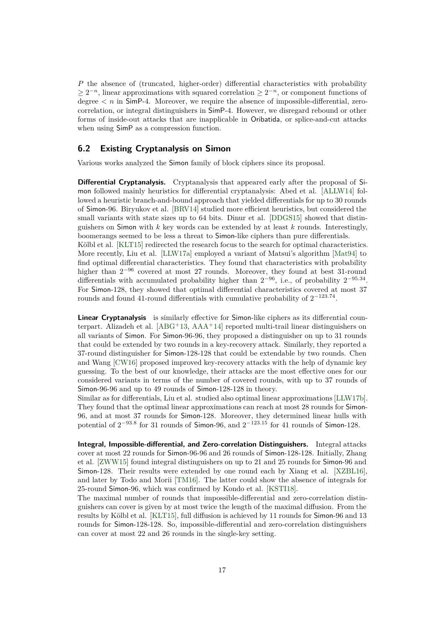*P* the absence of (truncated, higher-order) differential characteristics with probability  $\geq 2^{-n}$ , linear approximations with squared correlation  $\geq 2^{-n}$ , or component functions of degree  $\langle n \rangle$  in SimP-4. Moreover, we require the absence of impossible-differential, zerocorrelation, or integral distinguishers in SimP-4. However, we disregard rebound or other forms of inside-out attacks that are inapplicable in Oribatida, or splice-and-cut attacks when using SimP as a compression function.

#### <span id="page-16-0"></span>**6.2 Existing Cryptanalysis on Simon**

Various works analyzed the Simon family of block ciphers since its proposal.

**Differential Cryptanalysis.** Cryptanalysis that appeared early after the proposal of Simon followed mainly heuristics for differential cryptanalysis: Abed et al. [ALLW14] followed a heuristic branch-and-bound approach that yielded differentials for up to 30 rounds of Simon-96. Biryukov et al. [BRV14] studied more efficient heuristics, but considered the small variants with state sizes up to 64 bits. Dinur et al. [DDGS15] showed that distinguishers on Simon with *k* key words can be extended by at least *k* rounds. Interestingly, boomerangs seemed to be less a threat to Simon-like ciphers than pure differentials. Kölbl et al. [KLT15] redirected the research focus to the search for optimal characteristics. More recently, Liu et al. [LLW17a] employed a variant of Matsui's algorithm [Mat94] to

find optimal differential characteristics. They found that characteristics with probability higher than 2<sup>−</sup><sup>96</sup> covered at most 27 rounds. Moreover, they found at best 31-round differentials with accumulated probability higher than 2<sup>−</sup><sup>96</sup>, i.e., of probability 2<sup>−</sup>95*.*<sup>34</sup> . For Simon-128, they showed that optimal differential characteristics covered at most 37 rounds and found 41-round differentials with cumulative probability of 2<sup>−</sup>123*.*<sup>74</sup> .

**Linear Cryptanalysis** is similarly effective for Simon-like ciphers as its differential counterpart. Alizadeh et al.  $[ABC^+13, AAA^+14]$  reported multi-trail linear distinguishers on all variants of Simon. For Simon-96-96, they proposed a distinguisher on up to 31 rounds that could be extended by two rounds in a key-recovery attack. Similarly, they reported a 37-round distinguisher for Simon-128-128 that could be extendable by two rounds. Chen and Wang [CW16] proposed improved key-recovery attacks with the help of dynamic key guessing. To the best of our knowledge, their attacks are the most effective ones for our considered variants in terms of the number of covered rounds, with up to 37 rounds of Simon-96-96 and up to 49 rounds of Simon-128-128 in theory.

Similar as for differentials, Liu et al. studied also optimal linear approximations [LLW17b]. They found that the optimal linear approximations can reach at most 28 rounds for Simon-96, and at most 37 rounds for Simon-128. Moreover, they determined linear hulls with potential of  $2^{-93.8}$  for 31 rounds of Simon-96, and  $2^{-123.15}$  for 41 rounds of Simon-128.

**Integral, Impossible-differential, and Zero-correlation Distinguishers.** Integral attacks cover at most 22 rounds for Simon-96-96 and 26 rounds of Simon-128-128. Initially, Zhang et al. [ZWW15] found integral distinguishers on up to 21 and 25 rounds for Simon-96 and Simon-128. Their results were extended by one round each by Xiang et al. [XZBL16], and later by Todo and Morii [TM16]. The latter could show the absence of integrals for 25-round Simon-96, which was confirmed by Kondo et al. [KSTI18].

The maximal number of rounds that impossible-differential and zero-correlation distinguishers can cover is given by at most twice the length of the maximal diffusion. From the results by Kölbl et al. [KLT15], full diffusion is achieved by 11 rounds for Simon-96 and 13 rounds for Simon-128-128. So, impossible-differential and zero-correlation distinguishers can cover at most 22 and 26 rounds in the single-key setting.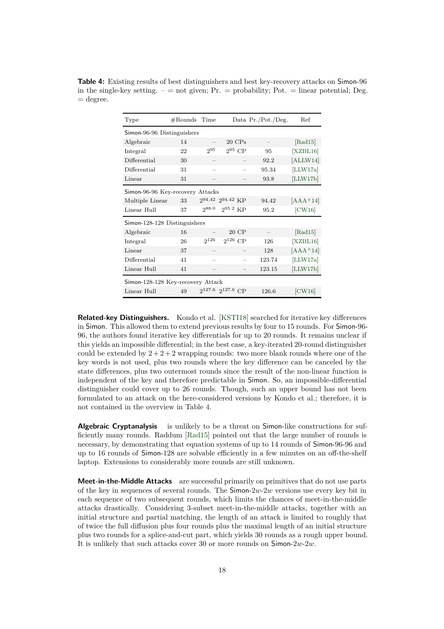<span id="page-17-0"></span>**Table 4:** Existing results of best distinguishers and best key-recovery attacks on Simon-96 in the single-key setting.  $-$  = not given;  $Pr.$  = probability; Pot. = linear potential; Deg.  $=\text{degree}.$ 

| Type                              | $#$ Rounds Time |       |                            |  | Data Pr./Pot./Deg. | Ref        |  |  |  |  |  |  |
|-----------------------------------|-----------------|-------|----------------------------|--|--------------------|------------|--|--|--|--|--|--|
| Simon-96-96 Distinguishers        |                 |       |                            |  |                    |            |  |  |  |  |  |  |
| Algebraic                         | 14              |       | $20 \text{ CPs}$           |  |                    | [Rad15]    |  |  |  |  |  |  |
| Integral                          | 22              | 295   | $2^{95}$ CP                |  | 95                 | [XZBL16]   |  |  |  |  |  |  |
| Differential                      | 30              |       |                            |  | 92.2               | [ALLW14]   |  |  |  |  |  |  |
| Differential                      | 31              |       |                            |  | 95.34              | [LLW17a]   |  |  |  |  |  |  |
| Linear                            | 31              |       |                            |  | 93.8               | [LLW17b]   |  |  |  |  |  |  |
| Simon-96-96 Key-recovery Attacks  |                 |       |                            |  |                    |            |  |  |  |  |  |  |
| Multiple Linear                   | 33              |       | 294.42 294.42 KP           |  | 94.42              | $[AAA+14]$ |  |  |  |  |  |  |
| Linear Hull                       | 37              | 288.0 | $2^{95.2}$ KP              |  | 95.2               | [CW16]     |  |  |  |  |  |  |
| Simon-128-128 Distinguishers      |                 |       |                            |  |                    |            |  |  |  |  |  |  |
| Algebraic                         | 16              |       | 20 CP                      |  |                    | [Rad15]    |  |  |  |  |  |  |
| Integral                          | 26              | 2126  | $2^{126}$ CP               |  | 126                | [XZBL16]   |  |  |  |  |  |  |
| Linear                            | 37              |       |                            |  | 128                | $[AAA+14]$ |  |  |  |  |  |  |
| Differential                      | 41              |       |                            |  | 123.74             | [LLW17a]   |  |  |  |  |  |  |
| Linear Hull                       | 41              |       |                            |  | 123.15             | [LLW17b]   |  |  |  |  |  |  |
| Simon-128-128 Key-recovery Attack |                 |       |                            |  |                    |            |  |  |  |  |  |  |
| Linear Hull                       | 49              |       | $2^{127.6}$ $2^{127.6}$ CP |  | 126.6              | [CW16]     |  |  |  |  |  |  |

**Related-key Distinguishers.** Kondo et al. [KSTI18] searched for iterative key differences in Simon. This allowed them to extend previous results by four to 15 rounds. For Simon-96- 96, the authors found iterative key differentials for up to 20 rounds. It remains unclear if this yields an impossible differential; in the best case, a key-iterated 20-round distinguisher could be extended by  $2+2+2$  wrapping rounds: two more blank rounds where one of the key words is not used, plus two rounds where the key difference can be canceled by the state differences, plus two outermost rounds since the result of the non-linear function is independent of the key and therefore predictable in Simon. So, an impossible-differential distinguisher could cover up to 26 rounds. Though, such an upper bound has not been formulated to an attack on the here-considered versions by Kondo et al.; therefore, it is not contained in the overview in Table [4.](#page-17-0)

**Algebraic Cryptanalysis** is unlikely to be a threat on Simon-like constructions for sufficiently many rounds. Raddum [Rad15] pointed out that the large number of rounds is necessary, by demonstrating that equation systems of up to 14 rounds of Simon-96-96 and up to 16 rounds of Simon-128 are solvable efficiently in a few minutes on an off-the-shelf laptop. Extensions to considerably more rounds are still unknown.

**Meet-in-the-Middle Attacks** are successful primarily on primitives that do not use parts of the key in sequences of several rounds. The Simon-2*w*-2*w* versions use every key bit in each sequence of two subsequent rounds, which limits the chances of meet-in-the-middle attacks drastically. Considering 3-subset meet-in-the-middle attacks, together with an initial structure and partial matching, the length of an attack is limited to roughly that of twice the full diffusion plus four rounds plus the maximal length of an initial structure plus two rounds for a splice-and-cut part, which yields 30 rounds as a rough upper bound. It is unlikely that such attacks cover 30 or more rounds on Simon-2*w*-2*w*.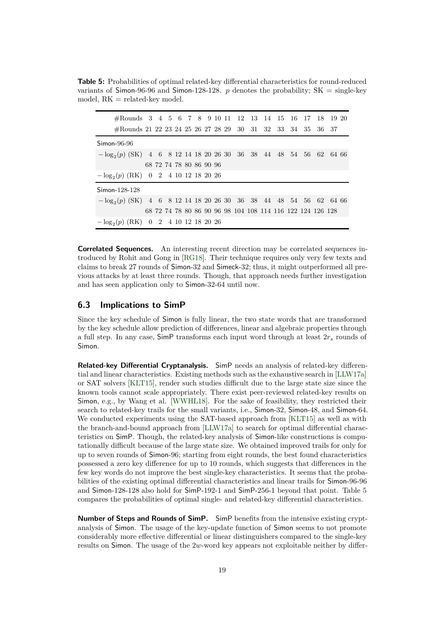<span id="page-18-1"></span>**Table 5:** Probabilities of optimal related-key differential characteristics for round-reduced variants of Simon-96-96 and Simon-128-128.  $p$  denotes the probability;  $SK = single-key$ model,  $RK = related-key model$ .

|               | #Rounds 3 4 5 6 7 8 9 10 11 12 13 14 15 16 17 18 19 20               |  |                         |  |  |  |  |  |  |  |  |                                                            |  |  |  |  |
|---------------|----------------------------------------------------------------------|--|-------------------------|--|--|--|--|--|--|--|--|------------------------------------------------------------|--|--|--|--|
|               | #Rounds 21 22 23 24 25 26 27 28 29 30 31 32 33 34 35 36 37           |  |                         |  |  |  |  |  |  |  |  |                                                            |  |  |  |  |
| $Simon-96-96$ |                                                                      |  |                         |  |  |  |  |  |  |  |  |                                                            |  |  |  |  |
|               | $-\log_2(p)$ (SK) 4 6 8 12 14 18 20 26 30 36 38 44 48 54 56 62 64 66 |  |                         |  |  |  |  |  |  |  |  |                                                            |  |  |  |  |
|               |                                                                      |  | 68 72 74 78 80 86 90 96 |  |  |  |  |  |  |  |  |                                                            |  |  |  |  |
|               | $-\log_2(p)$ (RK) 0 2 4 10 12 18 20 26                               |  |                         |  |  |  |  |  |  |  |  |                                                            |  |  |  |  |
|               | Simon-128-128                                                        |  |                         |  |  |  |  |  |  |  |  |                                                            |  |  |  |  |
|               | $-\log_2(p)$ (SK) 4 6 8 12 14 18 20 26 30 36 38 44 48 54 56 62 64 66 |  |                         |  |  |  |  |  |  |  |  |                                                            |  |  |  |  |
|               |                                                                      |  |                         |  |  |  |  |  |  |  |  | 68 72 74 78 80 86 90 96 98 104 108 114 116 122 124 126 128 |  |  |  |  |
|               | $-\log_2(p)$ (RK)                                                    |  | 0 2 4 10 12 18 20 26    |  |  |  |  |  |  |  |  |                                                            |  |  |  |  |

**Correlated Sequences.** An interesting recent direction may be correlated sequences introduced by Rohit and Gong in [RG18]. Their technique requires only very few texts and claims to break 27 rounds of Simon-32 and Simeck-32; thus, it might outperformed all previous attacks by at least three rounds. Though, that approach needs further investigation and has seen application only to Simon-32-64 until now.

#### <span id="page-18-0"></span>**6.3 Implications to SimP**

Since the key schedule of Simon is fully linear, the two state words that are transformed by the key schedule allow prediction of differences, linear and algebraic properties through a full step. In any case, SimP transforms each input word through at least 2*r<sup>s</sup>* rounds of Simon.

**Related-key Differential Cryptanalysis.** SimP needs an analysis of related-key differential and linear characteristics. Existing methods such as the exhaustive search in [LLW17a] or SAT solvers [KLT15], render such studies difficult due to the large state size since the known tools cannot scale appropriately. There exist peer-reviewed related-key results on Simon, e.g., by Wang et al. [WWHL18]. For the sake of feasibility, they restricted their search to related-key trails for the small variants, i.e., Simon-32, Simon-48, and Simon-64. We conducted experiments using the SAT-based approach from [KLT15] as well as with the branch-and-bound approach from [LLW17a] to search for optimal differential characteristics on SimP. Though, the related-key analysis of Simon-like constructions is computationally difficult because of the large state size. We obtained improved trails for only for up to seven rounds of Simon-96; starting from eight rounds, the best found characteristics possessed a zero key difference for up to 10 rounds, which suggests that differences in the few key words do not improve the best single-key characteristics. It seems that the probabilities of the existing optimal differential characteristics and linear trails for Simon-96-96 and Simon-128-128 also hold for SimP-192-1 and SimP-256-1 beyond that point. Table [5](#page-18-1) compares the probabilities of optimal single- and related-key differential characteristics.

**Number of Steps and Rounds of SimP.** SimP benefits from the intensive existing cryptanalysis of Simon. The usage of the key-update function of Simon seems to not promote considerably more effective differential or linear distinguishers compared to the single-key results on Simon. The usage of the 2*w*-word key appears not exploitable neither by differ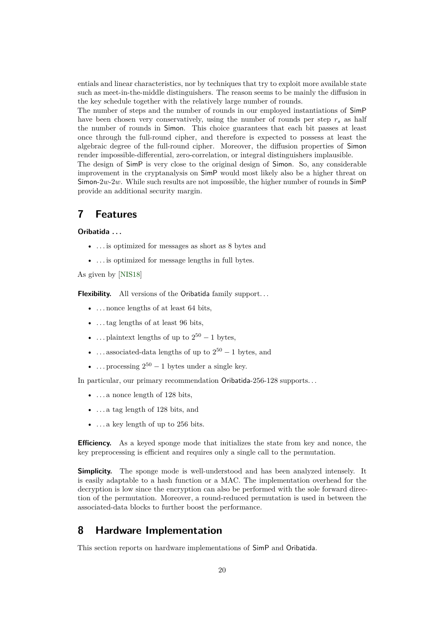entials and linear characteristics, nor by techniques that try to exploit more available state such as meet-in-the-middle distinguishers. The reason seems to be mainly the diffusion in the key schedule together with the relatively large number of rounds.

The number of steps and the number of rounds in our employed instantiations of SimP have been chosen very conservatively, using the number of rounds per step *r<sup>s</sup>* as half the number of rounds in Simon. This choice guarantees that each bit passes at least once through the full-round cipher, and therefore is expected to possess at least the algebraic degree of the full-round cipher. Moreover, the diffusion properties of Simon render impossible-differential, zero-correlation, or integral distinguishers implausible.

The design of SimP is very close to the original design of Simon. So, any considerable improvement in the cryptanalysis on SimP would most likely also be a higher threat on Simon-2*w*-2*w*. While such results are not impossible, the higher number of rounds in SimP provide an additional security margin.

### <span id="page-19-0"></span>**7 Features**

#### **Oribatida . . .**

- . . . is optimized for messages as short as 8 bytes and
- . . . is optimized for message lengths in full bytes.

As given by [\[NIS18\]](#page-23-2)

**Flexibility.** All versions of the Oribatida family support...

- ... nonce lengths of at least 64 bits,
- . . . tag lengths of at least 96 bits,
- ... plaintext lengths of up to  $2^{50} 1$  bytes,
- ... associated-data lengths of up to  $2^{50} 1$  bytes, and
- ... processing  $2^{50} 1$  bytes under a single key.

In particular, our primary recommendation Oribatida-256-128 supports. . .

- $\bullet$  ... a nonce length of 128 bits,
- . . . a tag length of 128 bits, and
- $\bullet$  ... a key length of up to 256 bits.

**Efficiency.** As a keyed sponge mode that initializes the state from key and nonce, the key preprocessing is efficient and requires only a single call to the permutation.

**Simplicity.** The sponge mode is well-understood and has been analyzed intensely. It is easily adaptable to a hash function or a MAC. The implementation overhead for the decryption is low since the encryption can also be performed with the sole forward direction of the permutation. Moreover, a round-reduced permutation is used in between the associated-data blocks to further boost the performance.

### <span id="page-19-1"></span>**8 Hardware Implementation**

This section reports on hardware implementations of SimP and Oribatida.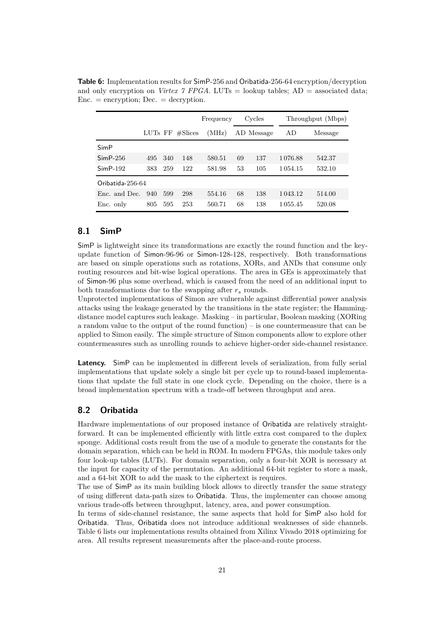|                  |     |                       |     | Frequency |    | Cycles     |               | Throughput (Mbps) |
|------------------|-----|-----------------------|-----|-----------|----|------------|---------------|-------------------|
|                  |     | LUTs FF<br>$\#Slices$ |     | (MHz)     |    | AD Message | AD            | Message           |
| SimP             |     |                       |     |           |    |            |               |                   |
| $SimP-256$       | 495 | 340                   | 148 | 580.51    | 69 | 137        | 1076.88       | 542.37            |
| $SimP-192$       | 383 | 259                   | 122 | 581.98    | 53 | 105        | 1 0 5 4 . 1 5 | 532.10            |
| Oribatida-256-64 |     |                       |     |           |    |            |               |                   |
| Enc. and Dec.    | 940 | 599                   | 298 | 554.16    | 68 | 138        | 1 043.12      | 514.00            |
| Enc. only        | 805 | 595                   | 253 | 560.71    | 68 | 138        | 1 0 5 5 . 4 5 | 520.08            |

<span id="page-20-2"></span>**Table 6:** Implementation results for SimP-256 and Oribatida-256-64 encryption/decryption and only encryption on *Virtex 7 FPGA*. LUTs = lookup tables;  $AD =$  associated data;  $Enc. = encryption; Dec. = decryption.$ 

#### <span id="page-20-0"></span>**8.1 SimP**

SimP is lightweight since its transformations are exactly the round function and the keyupdate function of Simon-96-96 or Simon-128-128, respectively. Both transformations are based on simple operations such as rotations, XORs, and ANDs that consume only routing resources and bit-wise logical operations. The area in GEs is approximately that of Simon-96 plus some overhead, which is caused from the need of an additional input to both transformations due to the swapping after *r<sup>s</sup>* rounds.

Unprotected implementations of Simon are vulnerable against differential power analysis attacks using the leakage generated by the transitions in the state register; the Hammingdistance model captures such leakage. Masking – in particular, Boolean masking (XORing a random value to the output of the round function) – is one countermeasure that can be applied to Simon easily. The simple structure of Simon components allow to explore other countermeasures such as unrolling rounds to achieve higher-order side-channel resistance.

**Latency.** SimP can be implemented in different levels of serialization, from fully serial implementations that update solely a single bit per cycle up to round-based implementations that update the full state in one clock cycle. Depending on the choice, there is a broad implementation spectrum with a trade-off between throughput and area.

### <span id="page-20-1"></span>**8.2 Oribatida**

Hardware implementations of our proposed instance of Oribatida are relatively straightforward. It can be implemented efficiently with little extra cost compared to the duplex sponge. Additional costs result from the use of a module to generate the constants for the domain separation, which can be held in ROM. In modern FPGAs, this module takes only four look-up tables (LUTs). For domain separation, only a four-bit XOR is necessary at the input for capacity of the permutation. An additional 64-bit register to store a mask, and a 64-bit XOR to add the mask to the ciphertext is requires.

The use of SimP as its main building block allows to directly transfer the same strategy of using different data-path sizes to Oribatida. Thus, the implementer can choose among various trade-offs between throughput, latency, area, and power consumption.

In terms of side-channel resistance, the same aspects that hold for SimP also hold for Oribatida. Thus, Oribatida does not introduce additional weaknesses of side channels. Table [6](#page-20-2) lists our implementations results obtained from Xilinx Vivado 2018 optimizing for area. All results represent measurements after the place-and-route process.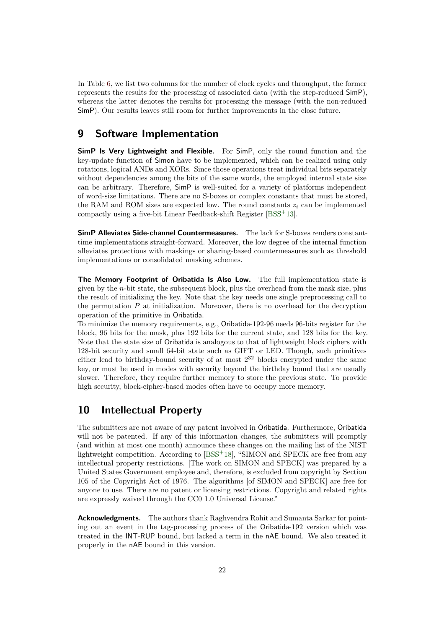In Table [6,](#page-20-2) we list two columns for the number of clock cycles and throughput, the former represents the results for the processing of associated data (with the step-reduced SimP), whereas the latter denotes the results for processing the message (with the non-reduced SimP). Our results leaves still room for further improvements in the close future.

### <span id="page-21-0"></span>**9 Software Implementation**

**SimP Is Very Lightweight and Flexible.** For SimP, only the round function and the key-update function of Simon have to be implemented, which can be realized using only rotations, logical ANDs and XORs. Since those operations treat individual bits separately without dependencies among the bits of the same words, the employed internal state size can be arbitrary. Therefore, SimP is well-suited for a variety of platforms independent of word-size limitations. There are no S-boxes or complex constants that must be stored, the RAM and ROM sizes are expected low. The round constants  $z_i$  can be implemented compactly using a five-bit Linear Feedback-shift Register [BSS<sup>+</sup>13].

**SimP Alleviates Side-channel Countermeasures.** The lack for S-boxes renders constanttime implementations straight-forward. Moreover, the low degree of the internal function alleviates protections with maskings or sharing-based countermeasures such as threshold implementations or consolidated masking schemes.

**The Memory Footprint of Oribatida Is Also Low.** The full implementation state is given by the *n*-bit state, the subsequent block, plus the overhead from the mask size, plus the result of initializing the key. Note that the key needs one single preprocessing call to the permutation  $P$  at initialization. Moreover, there is no overhead for the decryption operation of the primitive in Oribatida.

To minimize the memory requirements, e.g., Oribatida-192-96 needs 96-bits register for the block, 96 bits for the mask, plus 192 bits for the current state, and 128 bits for the key. Note that the state size of Oribatida is analogous to that of lightweight block ciphers with 128-bit security and small 64-bit state such as GIFT or LED. Though, such primitives either lead to birthday-bound security of at most 2<sup>32</sup> blocks encrypted under the same key, or must be used in modes with security beyond the birthday bound that are usually slower. Therefore, they require further memory to store the previous state. To provide high security, block-cipher-based modes often have to occupy more memory.

### <span id="page-21-1"></span>**10 Intellectual Property**

The submitters are not aware of any patent involved in Oribatida. Furthermore, Oribatida will not be patented. If any of this information changes, the submitters will promptly (and within at most one month) announce these changes on the mailing list of the NIST lightweight competition. According to [\[BSS](#page-22-1)<sup>+</sup>18], "SIMON and SPECK are free from any intellectual property restrictions. [The work on SIMON and SPECK] was prepared by a United States Government employee and, therefore, is excluded from copyright by Section 105 of the Copyright Act of 1976. The algorithms [of SIMON and SPECK] are free for anyone to use. There are no patent or licensing restrictions. Copyright and related rights are expressly waived through the CC0 1.0 Universal License."

**Acknowledgments.** The authors thank Raghvendra Rohit and Sumanta Sarkar for pointing out an event in the tag-processing process of the Oribatida-192 version which was treated in the INT-RUP bound, but lacked a term in the nAE bound. We also treated it properly in the nAE bound in this version.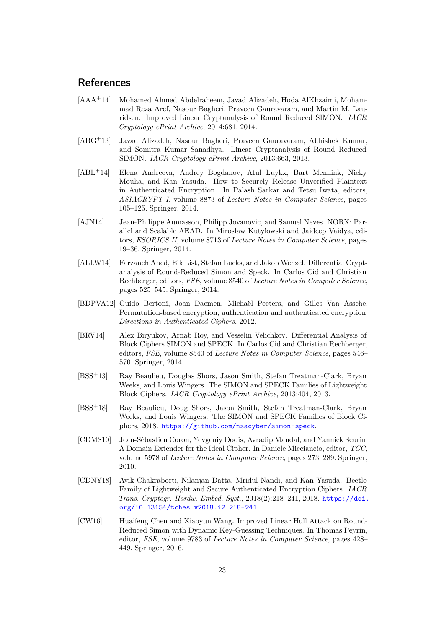### **References**

- [AAA+14] Mohamed Ahmed Abdelraheem, Javad Alizadeh, Hoda AlKhzaimi, Mohammad Reza Aref, Nasour Bagheri, Praveen Gauravaram, and Martin M. Lauridsen. Improved Linear Cryptanalysis of Round Reduced SIMON. *IACR Cryptology ePrint Archive*, 2014:681, 2014.
- [ABG+13] Javad Alizadeh, Nasour Bagheri, Praveen Gauravaram, Abhishek Kumar, and Somitra Kumar Sanadhya. Linear Cryptanalysis of Round Reduced SIMON. *IACR Cryptology ePrint Archive*, 2013:663, 2013.
- [ABL+14] Elena Andreeva, Andrey Bogdanov, Atul Luykx, Bart Mennink, Nicky Mouha, and Kan Yasuda. How to Securely Release Unverified Plaintext in Authenticated Encryption. In Palash Sarkar and Tetsu Iwata, editors, *ASIACRYPT I*, volume 8873 of *Lecture Notes in Computer Science*, pages 105–125. Springer, 2014.
- [AJN14] Jean-Philippe Aumasson, Philipp Jovanovic, and Samuel Neves. NORX: Parallel and Scalable AEAD. In Miroslaw Kutylowski and Jaideep Vaidya, editors, *ESORICS II*, volume 8713 of *Lecture Notes in Computer Science*, pages 19–36. Springer, 2014.
- [ALLW14] Farzaneh Abed, Eik List, Stefan Lucks, and Jakob Wenzel. Differential Cryptanalysis of Round-Reduced Simon and Speck. In Carlos Cid and Christian Rechberger, editors, *FSE*, volume 8540 of *Lecture Notes in Computer Science*, pages 525–545. Springer, 2014.
- <span id="page-22-0"></span>[BDPVA12] Guido Bertoni, Joan Daemen, Michaël Peeters, and Gilles Van Assche. Permutation-based encryption, authentication and authenticated encryption. *Directions in Authenticated Ciphers*, 2012.
- [BRV14] Alex Biryukov, Arnab Roy, and Vesselin Velichkov. Differential Analysis of Block Ciphers SIMON and SPECK. In Carlos Cid and Christian Rechberger, editors, *FSE*, volume 8540 of *Lecture Notes in Computer Science*, pages 546– 570. Springer, 2014.
- [BSS<sup>+</sup>13] Ray Beaulieu, Douglas Shors, Jason Smith, Stefan Treatman-Clark, Bryan Weeks, and Louis Wingers. The SIMON and SPECK Families of Lightweight Block Ciphers. *IACR Cryptology ePrint Archive*, 2013:404, 2013.
- <span id="page-22-1"></span>[BSS<sup>+</sup>18] Ray Beaulieu, Doug Shors, Jason Smith, Stefan Treatman-Clark, Bryan Weeks, and Louis Wingers. The SIMON and SPECK Families of Block Ciphers, 2018. <https://github.com/nsacyber/simon-speck>.
- [CDMS10] Jean-Sébastien Coron, Yevgeniy Dodis, Avradip Mandal, and Yannick Seurin. A Domain Extender for the Ideal Cipher. In Daniele Micciancio, editor, *TCC*, volume 5978 of *Lecture Notes in Computer Science*, pages 273–289. Springer, 2010.
- [CDNY18] Avik Chakraborti, Nilanjan Datta, Mridul Nandi, and Kan Yasuda. Beetle Family of Lightweight and Secure Authenticated Encryption Ciphers. *IACR Trans. Cryptogr. Hardw. Embed. Syst.*, 2018(2):218–241, 2018. [https://doi.](https://doi.org/10.13154/tches.v2018.i2.218-241) [org/10.13154/tches.v2018.i2.218-241](https://doi.org/10.13154/tches.v2018.i2.218-241).
- [CW16] Huaifeng Chen and Xiaoyun Wang. Improved Linear Hull Attack on Round-Reduced Simon with Dynamic Key-Guessing Techniques. In Thomas Peyrin, editor, *FSE*, volume 9783 of *Lecture Notes in Computer Science*, pages 428– 449. Springer, 2016.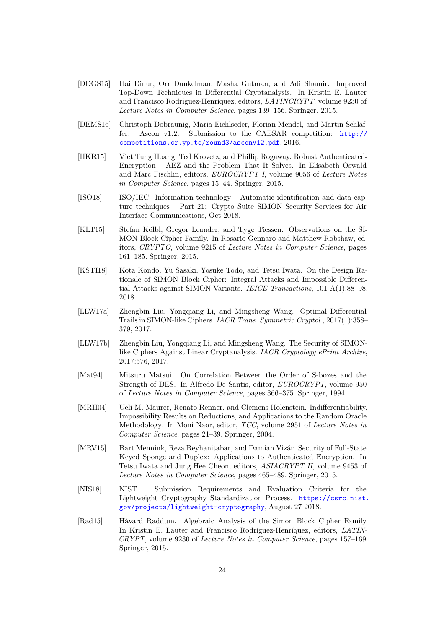- [DDGS15] Itai Dinur, Orr Dunkelman, Masha Gutman, and Adi Shamir. Improved Top-Down Techniques in Differential Cryptanalysis. In Kristin E. Lauter and Francisco Rodríguez-Henríquez, editors, *LATINCRYPT*, volume 9230 of *Lecture Notes in Computer Science*, pages 139–156. Springer, 2015.
- <span id="page-23-0"></span>[DEMS16] Christoph Dobraunig, Maria Eichlseder, Florian Mendel, and Martin Schläffer. Ascon v1.2. Submission to the CAESAR competition: [http://](http://competitions.cr.yp.to/round3/asconv12.pdf) [competitions.cr.yp.to/round3/asconv12.pdf](http://competitions.cr.yp.to/round3/asconv12.pdf), 2016.
- [HKR15] Viet Tung Hoang, Ted Krovetz, and Phillip Rogaway. Robust Authenticated-Encryption – AEZ and the Problem That It Solves. In Elisabeth Oswald and Marc Fischlin, editors, *EUROCRYPT I*, volume 9056 of *Lecture Notes in Computer Science*, pages 15–44. Springer, 2015.
- <span id="page-23-1"></span>[ISO18] ISO/IEC. Information technology – Automatic identification and data capture techniques – Part 21: Crypto Suite SIMON Security Services for Air Interface Communications, Oct 2018.
- [KLT15] Stefan Kölbl, Gregor Leander, and Tyge Tiessen. Observations on the SI-MON Block Cipher Family. In Rosario Gennaro and Matthew Robshaw, editors, *CRYPTO*, volume 9215 of *Lecture Notes in Computer Science*, pages 161–185. Springer, 2015.
- [KSTI18] Kota Kondo, Yu Sasaki, Yosuke Todo, and Tetsu Iwata. On the Design Rationale of SIMON Block Cipher: Integral Attacks and Impossible Differential Attacks against SIMON Variants. *IEICE Transactions*, 101-A(1):88–98, 2018.
- [LLW17a] Zhengbin Liu, Yongqiang Li, and Mingsheng Wang. Optimal Differential Trails in SIMON-like Ciphers. *IACR Trans. Symmetric Cryptol.*, 2017(1):358– 379, 2017.
- [LLW17b] Zhengbin Liu, Yongqiang Li, and Mingsheng Wang. The Security of SIMONlike Ciphers Against Linear Cryptanalysis. *IACR Cryptology ePrint Archive*, 2017:576, 2017.
- [Mat94] Mitsuru Matsui. On Correlation Between the Order of S-boxes and the Strength of DES. In Alfredo De Santis, editor, *EUROCRYPT*, volume 950 of *Lecture Notes in Computer Science*, pages 366–375. Springer, 1994.
- [MRH04] Ueli M. Maurer, Renato Renner, and Clemens Holenstein. Indifferentiability, Impossibility Results on Reductions, and Applications to the Random Oracle Methodology. In Moni Naor, editor, *TCC*, volume 2951 of *Lecture Notes in Computer Science*, pages 21–39. Springer, 2004.
- [MRV15] Bart Mennink, Reza Reyhanitabar, and Damian Vizár. Security of Full-State Keyed Sponge and Duplex: Applications to Authenticated Encryption. In Tetsu Iwata and Jung Hee Cheon, editors, *ASIACRYPT II*, volume 9453 of *Lecture Notes in Computer Science*, pages 465–489. Springer, 2015.
- <span id="page-23-2"></span>[NIS18] NIST. Submission Requirements and Evaluation Criteria for the Lightweight Cryptography Standardization Process. [https://csrc.nist.](https://csrc.nist.gov/projects/lightweight-cryptography) [gov/projects/lightweight-cryptography](https://csrc.nist.gov/projects/lightweight-cryptography), August 27 2018.
- [Rad15] Håvard Raddum. Algebraic Analysis of the Simon Block Cipher Family. In Kristin E. Lauter and Francisco Rodríguez-Henríquez, editors, *LATIN-CRYPT*, volume 9230 of *Lecture Notes in Computer Science*, pages 157–169. Springer, 2015.